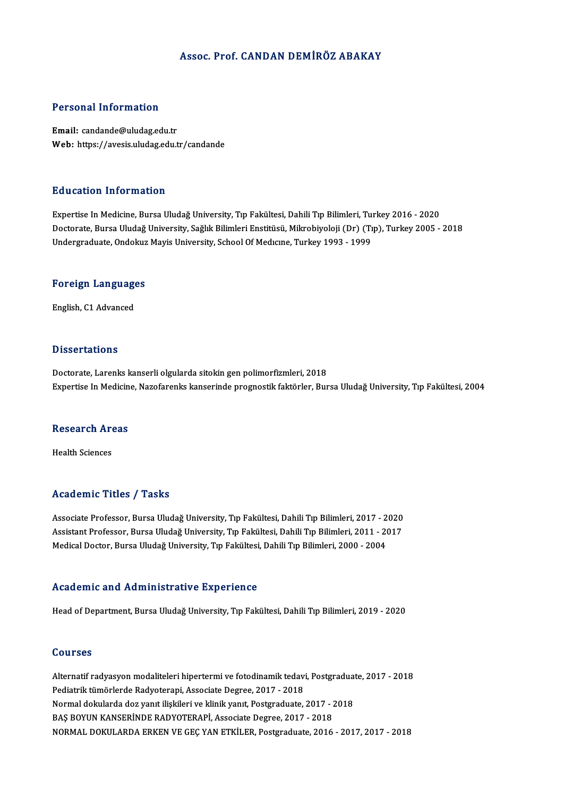## Assoc. Prof. CANDAN DEMİRÖZ ABAKAY

## Personal Information

Email: candande@uludag.edu.tr Web: https://avesis.uludag.edu.tr/candande

### Education Information

Expertise InMedicine,BursaUludağUniversity,Tıp Fakültesi,DahiliTıpBilimleri,Turkey2016 -2020 Doctorate, Bursa Uludağ University, Sağlık Bilimleri Enstitüsü, Mikrobiyoloji (Dr) (Tıp), Turkey 2005 - 2018 Undergraduate, Ondokuz Mayis University, School Of Medıcıne, Turkey 1993 - 1999

# **ondergraduate, Ondokuz**<br>Foreign Languages <mark>Foreign Languag</mark>e<br>English, C1 Advanced

English, C1 Advanced<br>Dissertations

Doctorate, Larenks kanserli olgularda sitokin gen polimorfizmleri, 2018 Expertise In Medicine, Nazofarenks kanserinde prognostik faktörler, Bursa Uludağ University, Tıp Fakültesi, 2004

# Experuse in Medicin<br>Research Areas R<mark>esearch Ar</mark><br>Health Sciences

# Academic Titles / Tasks

Associate Professor, Bursa Uludağ University, Tıp Fakültesi, Dahili Tıp Bilimleri, 2017 - 2020 Associate Professor, Bursa Uludağ University, Tıp Fakültesi, Dahili Tıp Bilimleri, 2017 - 2020<br>Assistant Professor, Bursa Uludağ University, Tıp Fakültesi, Dahili Tıp Bilimleri, 2011 - 2017<br>Madisəl Dostor, Bursa Uludağ Uni Associate Professor, Bursa Uludağ University, Tıp Fakültesi, Dahili Tıp Bilimleri, 2017 - 2<br>Assistant Professor, Bursa Uludağ University, Tıp Fakültesi, Dahili Tıp Bilimleri, 2011 - 2(<br>Medical Doctor, Bursa Uludağ Universi Medical Doctor, Bursa Uludağ University, Tıp Fakültesi, Dahili Tıp Bilimleri, 2000 - 2004<br>Academic and Administrative Experience

Head of Department, Bursa Uludağ University, Tıp Fakültesi, Dahili Tıp Bilimleri, 2019 - 2020

## Courses

Courses<br>Alternatif radyasyon modaliteleri hipertermi ve fotodinamik tedavi, Postgraduate, 2017 - 2018<br>Podistrik tümörlerde Podusterani, Assesiste Desree, 2017 - 2019 SSATSSS<br>Alternatif radyasyon modaliteleri hipertermi ve fotodinamik tedav:<br>Pediatrik tümörlerde Radyoterapi, Associate Degree, 2017 - 2018<br>Narmal deltularda deg vanıt ilialtileri ve klinik yanıt. Begtaradusta Alternatif radyasyon modaliteleri hipertermi ve fotodinamik tedavi, Postgradua<br>Pediatrik tümörlerde Radyoterapi, Associate Degree, 2017 - 2018<br>Normal dokularda doz yanıt ilişkileri ve klinik yanıt, Postgraduate, 2017 - 201 Pediatrik tümörlerde Radyoterapi, Associate Degree, 2017 - 2018<br>Normal dokularda doz yanıt ilişkileri ve klinik yanıt, Postgraduate, 2017 - 2018<br>BAŞ BOYUN KANSERİNDE RADYOTERAPİ, Associate Degree, 2017 - 2018 NORMALDOKULARDAERKENVEGEÇYANETKİLER,Postgraduate,2016 -2017,2017 -2018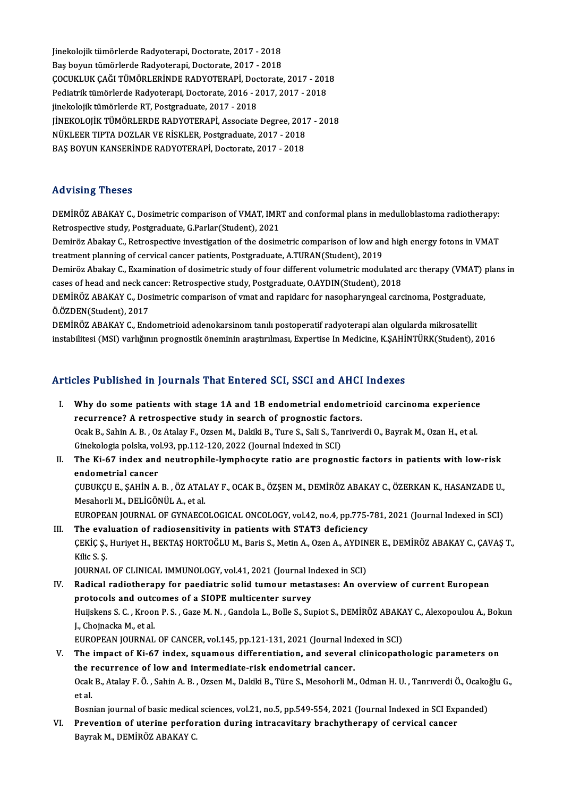Jinekolojik tümörlerde Radyoterapi, Doctorate, 2017 - 2018<br>Pes bouwn tümörlerde Radyoterapi, Doctorate, 2017 - 2018 Jinekolojik tümörlerde Radyoterapi, Doctorate, 2017 - 2018<br>Baş boyun tümörlerde Radyoterapi, Doctorate, 2017 - 2018<br>COCUKLUK GAĞLTÜMÖPLERİNDE RADYOTERAPI, Destarate Jinekolojik tümörlerde Radyoterapi, Doctorate, 2017 - 2018<br>Baş boyun tümörlerde Radyoterapi, Doctorate, 2017 - 2018<br>ÇOCUKLUK ÇAĞI TÜMÖRLERİNDE RADYOTERAPİ, Doctorate, 2017 - 2018<br>Podiatrik tümörlerde Podyoterani, Doctorate Baş boyun tümörlerde Radyoterapi, Doctorate, 2017 - 2018<br>ÇOCUKLUK ÇAĞI TÜMÖRLERİNDE RADYOTERAPİ, Doctorate, 2017 - 201<br>Pediatrik tümörlerde Radyoterapi, Doctorate, 2016 - 2017, 2017 - 2018<br>iinekeleijk tümörlerde BT. Pestsr ÇOCUKLUK ÇAĞI TÜMÖRLERİNDE RADYOTERAPİ, Doc<br>Pediatrik tümörlerde Radyoterapi, Doctorate, 2016 - 2<br>jinekolojik tümörlerde RT, Postgraduate, 2017 - 2018<br>UNEKOLOJIK TÜMÖRLERDE RADYOTERARİ, ASSOSIAL Pediatrik tümörlerde Radyoterapi, Doctorate, 2016 - 2017, 2017 - 2018<br>jinekolojik tümörlerde RT, Postgraduate, 2017 - 2018<br>JİNEKOLOJİK TÜMÖRLERDE RADYOTERAPİ, Associate Degree, 2017 - 2018<br>NÜKLEER TIPTA DOZLAR VE RİSKLER R jinekolojik tümörlerde RT, Postgraduate, 2017 - 2018<br>JİNEKOLOJİK TÜMÖRLERDE RADYOTERAPİ, Associate Degree, 201<br>NÜKLEER TIPTA DOZLAR VE RİSKLER, Postgraduate, 2017 - 2018<br>PAS POVUN KANSERİNDE RADYOTERAPİ, Dostarate, 2017 - JİNEKOLOJİK TÜMÖRLERDE RADYOTERAPİ, Associate Degree, 201<br>NÜKLEER TIPTA DOZLAR VE RİSKLER, Postgraduate, 2017 - 2018<br>BAŞ BOYUN KANSERİNDE RADYOTERAPİ, Doctorate, 2017 - 2018 BAŞ BOYUN KANSERİNDE RADYOTERAPİ, Doctorate, 2017 - 2018<br>Advising Theses

Advising Theses<br>DEMİRÖZ ABAKAY C., Dosimetric comparison of VMAT, IMRT and conformal plans in medulloblastoma radiotherapy:<br>Petrespestive study, Pestaraduate *C* Perlar(Student), 2021 retrosing ricoco<br>DEMİRÖZ ABAKAY C., Dosimetric comparison of VMAT, IMR<br>Retrospective study, Postgraduate, G.Parlar(Student), 2021<br>Dominës Abelray C., Betrospective investigation of the desim DEMİRÖZ ABAKAY C., Dosimetric comparison of VMAT, IMRT and conformal plans in medulloblastoma radiotherapy:<br>Retrospective study, Postgraduate, G.Parlar(Student), 2021<br>Demiröz Abakay C., Retrospective investigation of the d

Retrospective study, Postgraduate, G.Parlar(Student), 2021<br>Demiröz Abakay C., Retrospective investigation of the dosimetric comparison of low and high energy fotons in VMAT<br>treatment planning of cervical cancer patients, P Demiröz Abakay C., Retrospective investigation of the dosimetric comparison of low and high energy fotons in VMAT<br>treatment planning of cervical cancer patients, Postgraduate, A.TURAN(Student), 2019<br>Demiröz Abakay C., Exam

treatment planning of cervical cancer patients, Postgraduate, A.TURAN(Student), 2019<br>Demiröz Abakay C., Examination of dosimetric study of four different volumetric modulated<br>cases of head and neck cancer: Retrospective st Demiröz Abakay C., Examination of dosimetric study of four different volumetric modulated arc therapy (VMAT) <sub>]</sub><br>cases of head and neck cancer: Retrospective study, Postgraduate, O.AYDIN(Student), 2018<br>DEMİRÖZ ABAKAY C., D

Cases of head and neck ca<br>DEMİRÖZ ABAKAY C., Dos<br>Ö.ÖZDEN(Student), 2017<br>DEMİRÖZ ABAKAY C. End DEMİRÖZ ABAKAY C., Dosimetric comparison of vmat and rapidarc for nasopharyngeal carcinoma, Postgraduate,<br>Ö.ÖZDEN(Student), 2017<br>DEMİRÖZ ABAKAY C., Endometrioid adenokarsinom tanılı postoperatif radyoterapi alan olgularda

instabilitesi (MSI) varlığının prognostik öneminin araştırılması, Expertise In Medicine, K.ŞAHİNTÜRK(Student), 2016

## Articles Published in Journals That Entered SCI, SSCI and AHCI Indexes

- rticles Published in Journals That Entered SCI, SSCI and AHCI Indexes<br>I. Why do some patients with stage 1A and 1B endometrial endometrioid carcinoma experience Why do some patients with stage 1A and 1B endometrial endometricular of prognostic factors.<br>The currence? A retrospective study in search of prognostic factors. Why do some patients with stage 1A and 1B endometrial endometrioid carcinoma experience<br>recurrence? A retrospective study in search of prognostic factors.<br>Ocak B., Sahin A. B. , Oz Atalay F., Ozsen M., Dakiki B., Ture S., recurrence? A retrospective study in search of prognostic factorial political political political political po<br>Ocak B., Sahin A. B. , Oz Atalay F., Ozsen M., Dakiki B., Ture S., Sali S., Tar<br>Ginekologia polska, vol.93, pp. Ocak B., Sahin A. B. , Oz Atalay F., Ozsen M., Dakiki B., Ture S., Sali S., Tanriverdi O., Bayrak M., Ozan H., et al.<br>Ginekologia polska, vol.93, pp.112-120, 2022 (Journal Indexed in SCI)<br>II. The Ki-67 index and neutrophil
- Ginekologia polska, vo<br>The Ki-67 index and<br>endometrial cancer<br>CUPUKCU E SAHINA The Ki-67 index and neutrophile-lymphocyte ratio are prognostic factors in patients with low-risk<br>endometrial cancer<br>ÇUBUKÇU E., ŞAHİN A. B. , ÖZ ATALAY F., OCAK B., ÖZŞEN M., DEMİRÖZ ABAKAY C., ÖZERKAN K., HASANZADE U.,<br>M endometrial cancer<br>ÇUBUKÇU E., ŞAHİN A. B. , ÖZ ATAL<br>Mesahorli M., DELİGÖNÜL A., et al.<br>EUBOBEAN JOUBNAL OE CYNAECC

ÇUBUKÇU E., ŞAHİN A. B. , ÖZ ATALAY F., OCAK B., ÖZŞEN M., DEMİRÖZ ABAKAY C., ÖZERKAN K., HASANZADE U.,<br>Mesahorli M., DELİGÖNÜL A., et al.<br>EUROPEAN JOURNAL OF GYNAECOLOGICAL ONCOLOGY, vol.42, no.4, pp.775-781, 2021 (Journa

Mesahorli M., DELIGÖNÜL A., et al.<br>EUROPEAN JOURNAL OF GYNAECOLOGICAL ONCOLOGY, vol.42, no.4, pp.775-781, 2021 (Journal Indexed in SCI)<br>III. The evaluation of radiosensitivity in patients with STAT3 deficiency

EUROPEAN JOURNAL OF GYNAECOLOGICAL ONCOLOGY, vol.42, no.4, pp.775-781, 2021 (Journal Indexed in SCI)<br>The evaluation of radiosensitivity in patients with STAT3 deficiency<br>ÇEKİÇ Ş., Huriyet H., BEKTAŞ HORTOĞLU M., Baris S., The eva<br>ÇEKİÇ Ş.,<br>Kilic S. Ş.<br>JOUPNAJ ÇEKİÇ Ş., Huriyet H., BEKTAŞ HORTOĞLU M., Baris S., Metin A., Ozen A., AYDIN<br>Kilic S. Ş.<br>JOURNAL OF CLINICAL IMMUNOLOGY, vol.41, 2021 (Journal Indexed in SCI)<br>Padisal radiatherany far needistris solid tumour matastasas: An

- Kilic S. Ș.<br>JOURNAL OF CLINICAL IMMUNOLOGY, vol.41, 2021 (Journal Indexed in SCI)<br>IV. Radical radiotherapy for paediatric solid tumour metastases: An overview of current European<br>protocols and outcomes of a SIOBE multic JOURNAL OF CLINICAL IMMUNOLOGY, vol.41, 2021 (Journal In<br>Radical radiotherapy for paediatric solid tumour metas<br>protocols and outcomes of a SIOPE multicenter survey<br>Hujickans S.C., Kroop B.S., Care M.N., Candala L. Balla S Radical radiotherapy for paediatric solid tumour metastases: An overview of current European<br>protocols and outcomes of a SIOPE multicenter survey<br>Huijskens S. C. , Kroon P. S. , Gaze M. N. , Gandola L., Bolle S., Supiot S. protocols and outcomes of a SIOPE multicenter survey<br>Huijskens S. C. , Kroon P. S. , Gaze M. N. , Gandola L., Bolle S., Supiot S., DEMİRÖZ ABAK.<br>J., Chojnacka M., et al.<br>EUROPEAN JOURNAL OF CANCER, vol.145, pp.121-131, 202 Huijskens S. C., Kroon P. S., Gaze M. N., Gandola L., Bolle S., Supiot S., DEMİRÖZ ABAKAY C., Alexopoulou A., Bokun
- V. The impact of Ki-67 index, squamous differentiation, and several clinicopathologic parameters on EUROPEAN JOURNAL OF CANCER, vol.145, pp.121-131, 2021 (Journal Ind<br>The impact of Ki-67 index, squamous differentiation, and several<br>the recurrence of low and intermediate-risk endometrial cancer.<br>Qaak B. Atalay E.Ö., Sobin Ocak B., Atalay F. Ö. , Sahin A. B. , Ozsen M., Dakiki B., Türe S., Mesohorli M., Odman H. U. , Tanrıverdi Ö., Ocakoğlu G.,<br>et al. the r<br>Ocak<br>et al.<br>Been Ocak B., Atalay F. Ö. , Sahin A. B. , Ozsen M., Dakiki B., Türe S., Mesohorli M., Odman H. U. , Tanrıverdi Ö., Ocako<br>et al.<br>Bosnian journal of basic medical sciences, vol.21, no.5, pp.549-554, 2021 (Journal Indexed in SCI

et al.<br>Bosnian journal of basic medical sciences, vol.21, no.5, pp.549-554, 2021 (Journal Indexed in SCI Exp<br>VI. Prevention of uterine perforation during intracavitary brachytherapy of cervical cancer<br>Bayrak M. DEMIRÖZ Bosnian journal of basic medical<br><mark>Prevention of uterine perfor</mark><br>Bayrak M., DEMİRÖZ ABAKAY C.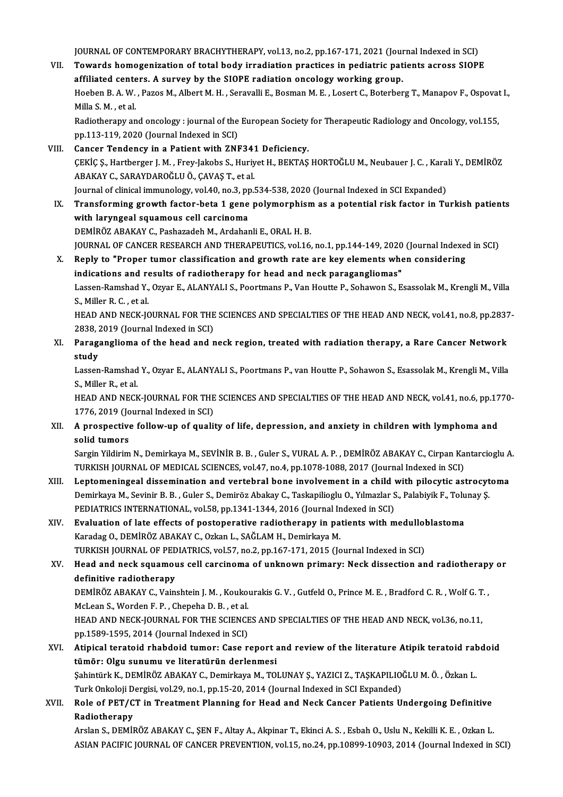JOURNAL OF CONTEMPORARY BRACHYTHERAPY, vol.13, no.2, pp.167-171, 2021 (Journal Indexed in SCI)<br>Towards hamagenization of tatal hady innediation practises in podiatric patients capees SIQPI

- JOURNAL OF CONTEMPORARY BRACHYTHERAPY, vol.13, no.2, pp.167-171, 2021 (Journal Indexed in SCI)<br>VII. Towards homogenization of total body irradiation practices in pediatric patients across SIOPE JOURNAL OF CONTEMPORARY BRACHYTHERAPY, vol.13, no.2, pp.167-171, 2021 (Journ Towards homogenization of total body irradiation practices in pediatric pate of the SIOPE radiation oncology working group.<br>Hechan B.A.W. Bares M Towards homogenization of total body irradiation practices in pediatric patients across SIOPE<br>affiliated centers. A survey by the SIOPE radiation oncology working group.<br>Hoeben B. A. W. , Pazos M., Albert M. H. , Seravalli affiliated cente<br>Hoeben B. A. W.<br>Milla S. M. , et al.<br>Padiatherany an Hoeben B. A. W. , Pazos M., Albert M. H. , Seravalli E., Bosman M. E. , Losert C., Boterberg T., Manapov F., Ospovat<br>Milla S. M. , et al.<br>Radiotherapy and oncology : journal of the European Society for Therapeutic Radiolog Milla S. M. , et al.<br>Radiotherapy and oncology : journal of the European Society for Therapeutic Radiology and Oncology, vol.155,<br>pp.113-119, 2020 (Journal Indexed in SCI)
- VIII. Cancer Tendency in a Patient with ZNF341 Deficiency. CEKİC S., Hartberger J. M. , Frey-Jakobs S., Huriyet H., BEKTAS HORTOĞLU M., Neubauer J. C. , Karali Y., DEMİRÖZ ABAKAYC.,SARAYDAROĞLUÖ.,ÇAVAŞT.,etal. ÇEKİÇ Ş., Hartberger J. M. , Frey-Jakobs S., Huriyet H., BEKTAŞ HORTOĞLU M., Neubauer J. C. , Kara<br>ABAKAY C., SARAYDAROĞLU Ö., ÇAVAŞ T., et al.<br>Journal of clinical immunology, vol.40, no.3, pp.534-538, 2020 (Journal Indexe
- IX. Transforming growth factor-beta 1 gene polymorphismas a potential risk factor in Turkish patients Journal of clinical immunology, vol.40, no.3, pp<br>Transforming growth factor-beta 1 gene<br>with laryngeal squamous cell carcinoma<br>PEMiPÖZ ARAKAY C. Peebagadeb M. Ardeber DEMİRÖZ ABAKAY C., Pashazadeh M., Ardahanli E., ORAL H. B. with laryngeal squamous cell carcinoma<br>DEMİRÖZ ABAKAY C., Pashazadeh M., Ardahanli E., ORAL H. B.<br>JOURNAL OF CANCER RESEARCH AND THERAPEUTICS, vol.16, no.1, pp.144-149, 2020 (Journal Indexed in SCI)<br>Reply to "Preper tumer DEMIRÖZ ABAKAY C., Pashazadeh M., Ardahanli E., ORAL H. B.<br>JOURNAL OF CANCER RESEARCH AND THERAPEUTICS, vol.16, no.1, pp.144-149, 2020 (Journal Indexer<br>X. Reply to "Proper tumor classification and growth rate are key eleme
- JOURNAL OF CANCER RESEARCH AND THERAPEUTICS, vol.16, no.1, pp.144-149, 2020<br>Reply to "Proper tumor classification and growth rate are key elements whe<br>indications and results of radiotherapy for head and neck paraganglioma Reply to "Proper tumor classification and growth rate are key elements when considering<br>indications and results of radiotherapy for head and neck paragangliomas"<br>Lassen-Ramshad Y., Ozyar E., ALANYALI S., Poortmans P., Van indications and re<br>Lassen-Ramshad Y.,<br>S., Miller R. C. , et al.<br>HEAD AND NECK IG Lassen-Ramshad Y., Ozyar E., ALANYALI S., Poortmans P., Van Houtte P., Sohawon S., Esassolak M., Krengli M., Villa<br>S., Miller R. C. , et al.<br>HEAD AND NECK-JOURNAL FOR THE SCIENCES AND SPECIALTIES OF THE HEAD AND NECK, vol.

S., Miller R. C. , et al.<br>HEAD AND NECK-JOURNAL FOR THE<br>2838, 2019 (Journal Indexed in SCI)<br>Baragangliama of the baad and r HEAD AND NECK-JOURNAL FOR THE SCIENCES AND SPECIALTIES OF THE HEAD AND NECK, vol.41, no.8, pp.2837<br>2838, 2019 (Journal Indexed in SCI)<br>XI. Paraganglioma of the head and neck region, treated with radiation therapy, a Rare C

2838, 2019 (Journal Indexed in SCI)<br>XI. Paraganglioma of the head and neck region, treated with radiation therapy, a Rare Cancer Network<br>study Paraganglioma of the head and neck region, treated with radiation therapy, a Rare Cancer Network<br>study<br>Lassen-Ramshad Y., Ozyar E., ALANYALI S., Poortmans P., van Houtte P., Sohawon S., Esassolak M., Krengli M., Villa<br>S. M

**study<br>Lassen-Ramshad<br>S., Miller R., et al.<br>HEAD AND NECK** Lassen-Ramshad Y., Ozyar E., ALANYALI S., Poortmans P., van Houtte P., Sohawon S., Esassolak M., Krengli M., Villa<br>S., Miller R., et al.<br>HEAD AND NECK-JOURNAL FOR THE SCIENCES AND SPECIALTIES OF THE HEAD AND NECK, vol.41,

S., Miller R., et al.<br>HEAD AND NECK-JOURNAL FOR THE<br>1776, 2019 (Journal Indexed in SCI)<br>A prespective follow up of suali HEAD AND NECK-JOURNAL FOR THE SCIENCES AND SPECIALTIES OF THE HEAD AND NECK, vol.41, no.6, pp.17<br>1776, 2019 (Journal Indexed in SCI)<br>XII. A prospective follow-up of quality of life, depression, and anxiety in children

1776, 2019 (Jo<br>A prospective<br>solid tumors<br>Sargin Vildinim A prospective follow-up of quality of life, depression, and anxiety in children with lymphoma and<br>solid tumors<br>Sargin Yildirim N., Demirkaya M., SEVİNİR B. B. , Guler S., VURAL A. P. , DEMİRÖZ ABAKAY C., Cirpan Kantarciogl

solid tumors<br>Sargin Yildirim N., Demirkaya M., SEVİNİR B. B. , Guler S., VURAL A. P. , DEMİRÖZ ABAKAY C., Cirpan Kantarcioglu A.<br>TURKISH JOURNAL OF MEDICAL SCIENCES, vol.47, no.4, pp.1078-1088, 2017 (Journal Indexed in SCI Sargin Yildirim N., Demirkaya M., SEVİNİR B. B. , Guler S., VURAL A. P. , DEMİRÖZ ABAKAY C., Cirpan Kantarcioglu A<br>TURKISH JOURNAL OF MEDICAL SCIENCES, vol.47, no.4, pp.1078-1088, 2017 (Journal Indexed in SCI)<br>XIII. Leptom

- TURKISH JOURNAL OF MEDICAL SCIENCES, vol.47, no.4, pp.1078-1088, 2017 (Journal Indexed in SCI)<br>Leptomeningeal dissemination and vertebral bone involvement in a child with pilocytic astrocyt<br>Demirkaya M., Sevinir B. B. , Gu Leptomeningeal dissemination and vertebral bone involvement in a child<br>Demirkaya M., Sevinir B. B. , Guler S., Demiröz Abakay C., Taskapilioglu O., Yılmazlar S<br>PEDIATRICS INTERNATIONAL, vol.58, pp.1341-1344, 2016 (Journal Demirkaya M., Sevinir B. B., Guler S., Demiröz Abakay C., Taskapilioglu O., Yılmazlar S., Palabiyik F., Tolu<br>PEDIATRICS INTERNATIONAL, vol.58, pp.1341-1344, 2016 (Journal Indexed in SCI)<br>XIV. Evaluation of late effects of
- PEDIATRICS INTERNATIONAL, vol.58, pp.1341-1344, 2016 (Journal In<br>Evaluation of late effects of postoperative radiotherapy in pa<br>Karadag O., DEMİRÖZ ABAKAY C., Ozkan L., SAĞLAM H., Demirkaya M.<br>TURKISH JOURNAL OF PEDIATRICS Evaluation of late effects of postoperative radiotherapy in patients with medullol<br>Karadag O., DEMİRÖZ ABAKAY C., Ozkan L., SAĞLAM H., Demirkaya M.<br>TURKISH JOURNAL OF PEDIATRICS, vol.57, no.2, pp.167-171, 2015 (Journal Ind Karadag O., DEMİRÖZ ABAKAY C., Ozkan L., SAĞLAM H., Demirkaya M.<br>TURKISH JOURNAL OF PEDIATRICS, vol.57, no.2, pp.167-171, 2015 (Journal Indexed in SCI)<br>XV. Head and neck squamous cell carcinoma of unknown primary: Neck
- TURKISH JOURNAL OF PEDIATRICS, vol.57, no.2, pp.167-171, 2015 (Journal Indexed in SCI)<br>Head and neck squamous cell carcinoma of unknown primary: Neck dissection an<br>definitive radiotherapy Head and neck squamous cell carcinoma of unknown primary: Neck dissection and radiotherapy<br>definitive radiotherapy<br>DEMİRÖZ ABAKAY C., Vainshtein J. M. , Koukourakis G. V. , Gutfeld O., Prince M. E. , Bradford C. R. , Wolf

definitive radiotherapy<br>DEMİRÖZ ABAKAY C., Vainshtein J. M. , Kouko<br>McLean S., Worden F. P. , Chepeha D. B. , et al.<br>HEAD AND NECK JOUPNAL FOR THE SCIENCE DEMIRÖZ ABAKAY C., Vainshtein J. M. , Koukourakis G. V. , Gutfeld O., Prince M. E. , Bradford C. R. , Wolf G. T. ,<br>McLean S., Worden F. P. , Chepeha D. B. , et al.<br>HEAD AND NECK-JOURNAL FOR THE SCIENCES AND SPECIALTIES OF

McLean S., Worden F. P. , Chepeha D. B. , et al.<br>HEAD AND NECK-JOURNAL FOR THE SCIENCE<br>pp.1589-1595, 2014 (Journal Indexed in SCI)<br>Atinical terateid rhabdoid tumory Case r HEAD AND NECK-JOURNAL FOR THE SCIENCES AND SPECIALTIES OF THE HEAD AND NECK, vol.36, no.11,<br>pp.1589-1595, 2014 (Journal Indexed in SCI)<br>XVI. Atipical teratoid rhabdoid tumor: Case report and review of the literature Atipik

- pp.1589-1595, 2014 (Journal Indexed in SCI)<br>Atipical teratoid rhabdoid tumor: Case report a<br>tümör: Olgu sunumu ve literatürün derlenmesi<br>Sehintürk K. DEMİRÖZ ARAKAY G. Demirkaya M. TOl Atipical teratoid rhabdoid tumor: Case report and review of the literature Atipik teratoid rah<br>tümör: Olgu sunumu ve literatürün derlenmesi<br>Şahintürk K., DEMİRÖZ ABAKAY C., Demirkaya M., TOLUNAY Ş., YAZICI Z., TAŞKAPILIOĞL tümör: Olgu sunumu ve literatürün derlenmesi<br>Şahintürk K., DEMİRÖZ ABAKAY C., Demirkaya M., TOLUNAY Ş., YAZICI Z., TAŞKAPILIOĞLU M. Ö. , Özkan L.<br>Turk Onkoloji Dergisi, vol.29, no.1, pp.15-20, 2014 (Journal Indexed in SCI Şahintürk K., DEMİRÖZ ABAKAY C., Demirkaya M., TOLUNAY Ş., YAZICI Z., TAŞKAPILIOĞLU M. Ö. , Özkan L.<br>Turk Onkoloji Dergisi, vol.29, no.1, pp.15-20, 2014 (Journal Indexed in SCI Expanded)<br>XVII. Role of PET/CT in Treatme
- Turk Onkoloji D<br>Role of PET/C<br>Radiotherapy<br>Arclan S. DEMil Radiotherapy<br>Arslan S., DEMİRÖZ ABAKAY C., ŞEN F., Altay A., Akpinar T., Ekinci A. S. , Esbah O., Uslu N., Kekilli K. E. , Ozkan L.

ASIAN PACIFIC JOURNAL OF CANCER PREVENTION, vol.15, no.24, pp.10899-10903, 2014 (Journal Indexed in SCI)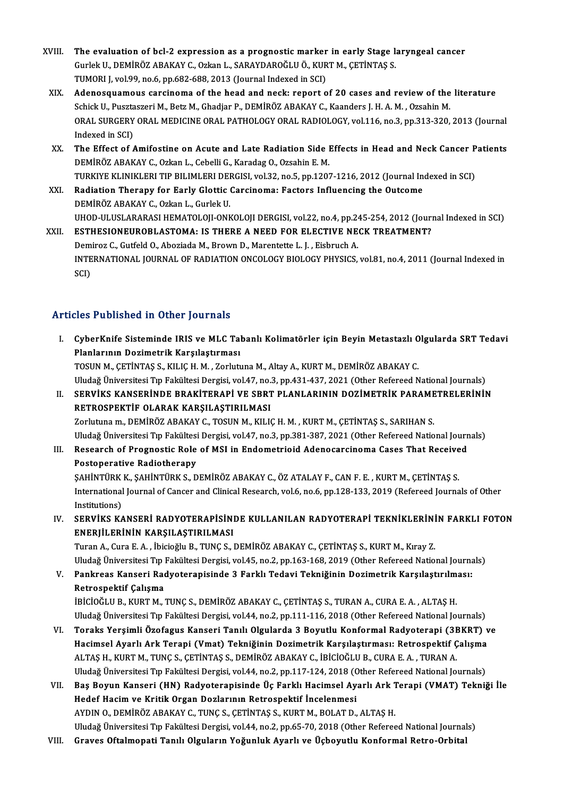- XVIII. The evaluation of bcl-2 expression as a prognostic marker in early Stage laryngeal cancer The evaluation of bcl-2 expression as a prognostic marker in early Stage la<br>Gurlek U., DEMİRÖZ ABAKAY C., Ozkan L., SARAYDAROĞLU Ö., KURT M., ÇETİNTAŞ S.<br>TUMORLL YRL99 DQ 6 np.693,699,2012 (Journal Indoved in SCI) The evaluation of bcl-2 expression as a prognostic marker<br>Gurlek U., DEMIRÖZ ABAKAY C., Ozkan L., SARAYDAROĞLU Ö., KUR<br>TUMORI J, vol.99, no.6, pp.682-688, 2013 (Journal Indexed in SCI)<br>Adapessuameus sarsineme of the beed a Gurlek U., DEMİRÖZ ABAKAY C., Ozkan L., SARAYDAROĞLU Ö., KURT M., ÇETİNTAŞ S.<br>TUMORI J, vol.99, no.6, pp.682-688, 2013 (Journal Indexed in SCI)<br>XIX. Adenosquamous carcinoma of the head and neck: report of 20 cases and revi
	- TUMORI J, vol.99, no.6, pp.682-688, 2013 (Journal Indexed in SCI)<br>Adenosquamous carcinoma of the head and neck: report of 20 cases and review of the<br>Schick U., Pusztaszeri M., Betz M., Ghadjar P., DEMİRÖZ ABAKAY C., Kaande Adenosquamous carcinoma of the head and neck: report of 20 cases and review of the literature<br>Schick U., Pusztaszeri M., Betz M., Ghadjar P., DEMİRÖZ ABAKAY C., Kaanders J. H. A. M. , Ozsahin M.<br>ORAL SURGERY ORAL MEDICINE Schick U., Pusztaszeri M., Betz M., Ghadjar P., DEMİRÖZ ABAKAY C., Kaanders J. H. A. M. , Ozsahin M. ORAL SURGERY ORAL MEDICINE ORAL PATHOLOGY ORAL RADIOLOGY, vol.116, no.3, pp.313-320, Indexed in SCI) ORAL SURGERY ORAL MEDICINE ORAL PATHOLOGY ORAL RADIOLOGY, vol.116, no.3, pp.313-320, 2013 (Journal<br>Indexed in SCI)<br>XX. The Effect of Amifostine on Acute and Late Radiation Side Effects in Head and Neck Cancer Patients<br>DEMI
	- The Effect of Amifostine on Acute and Late Radiation Side Effects in Head and Neck Cancer Patients<br>DEMİRÖZ ABAKAY C., Ozkan L., Cebelli G., Karadag O., Ozsahin E. M. The Effect of Amifostine on Acute and Late Radiation Side Effects in Head and Neck Cancer P<br>DEMIRÖZ ABAKAY C., Ozkan L., Cebelli G., Karadag O., Ozsahin E. M.<br>TURKIYE KLINIKLERI TIP BILIMLERI DERGISI, vol.32, no.5, pp.1207 DEMIRÖZ ABAKAY C., Ozkan L., Cebelli G., Karadag O., Ozsahin E. M.<br>TURKIYE KLINIKLERI TIP BILIMLERI DERGISI, vol.32, no.5, pp.1207-1216, 2012 (Journal In<br>XXI. Radiation Therapy for Early Glottic Carcinoma: Factors Influenc
- TURKIYE KLINIKLERI TIP BILIMLERI DEI<br>Radiation Therapy for Early Glottic<br>DEMİRÖZ ABAKAY C., Ozkan L., Gurlek U.<br>UHOD ULUSI ABARASI HEMATOLOU ONL Radiation Therapy for Early Glottic Carcinoma: Factors Influencing the Outcome<br>DEMİRÖZ ABAKAY C., Ozkan L., Gurlek U.<br>UHOD-ULUSLARARASI HEMATOLOJI-ONKOLOJI DERGISI, vol.22, no.4, pp.245-254, 2012 (Journal Indexed in SCI)<br>E DEMIRÖZ ABAKAY C., Ozkan L., Gurlek U.<br>UHOD-ULUSLARARASI HEMATOLOJI-ONKOLOJI DERGISI, vol.22, no.4, pp.245-254, 2012 (Jour<br>XXII. ESTHESIONEUROBLASTOMA: IS THERE A NEED FOR ELECTIVE NECK TREATMENT?

UHOD-ULUSLARARASI HEMATOLOJI-ONKOLOJI DERGISI, vol.22, no.4, pp.24<br>**ESTHESIONEUROBLASTOMA: IS THERE A NEED FOR ELECTIVE NE**<br>Demiroz C., Gutfeld O., Aboziada M., Brown D., Marentette L. J. , Eisbruch A.<br>INTERNATIONAL JOURNA INTERNATIONAL JOURNAL OF RADIATION ONCOLOGY BIOLOGY PHYSICS, vol.81, no.4, 2011 (Journal Indexed in SCI) Demiroz C., Gutfeld O., Aboziada M., Brown D., Marentette L. J., Eisbruch A.

## Articles Published in Other Journals

rticles Published in Other Journals<br>I. CyberKnife Sisteminde IRIS ve MLC Tabanlı Kolimatörler için Beyin Metastazlı Olgularda SRT Tedavi<br>Riaplarının Degimetrik Karsılastırması Planlarının Doziman Dozimanın Cyber<br>Planlarının Dozimetrik Karşılaştırması<br>TOSUN M. CETİNTAS S. KU ICH M. ZORUT CyberKnife Sisteminde IRIS ve MLC Tabanlı Kolimatörler için Beyin Metastazlı O<br>Planlarının Dozimetrik Karşılaştırması<br>TOSUN M., ÇETİNTAŞ S., KILIÇ H. M. , Zorlutuna M., Altay A., KURT M., DEMİRÖZ ABAKAY C.<br>Uludağ Üniversit

Planlarının Dozimetrik Karşılaştırması<br>TOSUN M., ÇETİNTAŞ S., KILIÇ H. M. , Zorlutuna M., Altay A., KURT M., DEMİRÖZ ABAKAY C.<br>Uludağ Üniversitesi Tıp Fakültesi Dergisi, vol.47, no.3, pp.431-437, 2021 (Other Refereed Natio TOSUN M., ÇETİNTAŞ S., KILIÇ H. M. , Zorlutuna M., Altay A., KURT M., DEMİRÖZ ABAKAY C.<br>Uludağ Üniversitesi Tıp Fakültesi Dergisi, vol.47, no.3, pp.431-437, 2021 (Other Refereed National Journals)<br>II. SERVİKS KANSERİNDE BR

RETROSPEKTİF OLARAK KARŞILAŞTIRILMASI<br>Zorlutuna m., DEMİRÖZ ABAKAY C., TOSUN M., KILIÇ H. M. , KURT M., CETİNTAS S., SARIHAN S. II. SERVİKS KANSERİNDE BRAKİTERAPİ VE SBRT PLANLARININ DOZİMETRİK PARAMETRELERİNİN Uludağ Üniversitesi Tıp Fakültesi Dergisi, vol.47, no.3, pp.381-387, 2021 (Other Refereed National Journals) Zorlutuna m., DEMİRÖZ ABAKAY C., TOSUN M., KILIÇ H. M. , KURT M., ÇETİNTAŞ S., SARIHAN S.<br>Uludağ Üniversitesi Tıp Fakültesi Dergisi, vol.47, no.3, pp.381-387, 2021 (Other Refereed National Journ<br>III. Research of Prognostic

## Uludağ Üniversitesi Tıp Fakültesi<br>Research of Prognostic Role<br>Postoperative Radiotherapy<br>SAHİNTÜDKK SAHİNTÜDKS D Research of Prognostic Role of MSI in Endometrioid Adenocarcinoma Cases That Receive<br>Postoperative Radiotherapy<br>ŞAHİNTÜRK K., ŞAHİNTÜRK S., DEMİRÖZ ABAKAY C., ÖZ ATALAY F., CAN F. E. , KURT M., ÇETİNTAŞ S.<br>International Jo

Postoperative Radiotherapy<br>SAHİNTÜRK K., ŞAHİNTÜRK S., DEMİRÖZ ABAKAY C., ÖZ ATALAY F., CAN F. E. , KURT M., ÇETİNTAŞ S.<br>International Journal of Cancer and Clinical Research, vol.6, no.6, pp.128-133, 2019 (Refereed Journa SAHİNTÜRK<br>International<br>Institutions)<br>SERVİKS KA International Journal of Cancer and Clinical Research, vol.6, no.6, pp.128-133, 2019 (Refereed Journals of Other<br>Institutions)<br>IV. SERVİKS KANSERİ RADYOTERAPİSİNDE KULLANILAN RADYOTERAPİ TEKNİKLERİNİN FARKLI FOTON<br>ENERLI F

ENERJİLERİNİN KARŞILAŞTIRILMASI<br>Turan A., Cura E. A. , İbicioğlu B., TUNÇ S., DEMİRÖZ ABAKAY C., ÇETİNTAŞ S., KURT M., Kıray Z. SERVİKS KANSERİ RADYOTERAPİSİNDE KULLANILAN RADYOTERAPİ TEKNİKLERİNİ<br>ENERJİLERİNİN KARŞILAŞTIRILMASI<br>Turan A., Cura E. A. , İbicioğlu B., TUNÇ S., DEMİRÖZ ABAKAY C., ÇETİNTAŞ S., KURT M., Kıray Z.<br>Uludağ Üniversitesi En Ea

Uludağ Üniversitesi Tıp Fakültesi Dergisi, vol.45, no.2, pp.163-168, 2019 (Other Refereed National Journals) Turan A., Cura E. A. , İbicioğlu B., TUNÇ S., DEMİRÖZ ABAKAY C., ÇETİNTAŞ S., KURT M., Kıray Z.<br>Uludağ Üniversitesi Tıp Fakültesi Dergisi, vol.45, no.2, pp.163-168, 2019 (Other Refereed National Journa<br>V. Pankreas Kans

Uludağ Üniversitesi Tıp |<br>Pankreas Kanseri Rad<br>Retrospektif Çalışma<br>!Þicioč! !! Þ. KUPT M Pankreas Kanseri Radyoterapisinde 3 Farklı Tedavi Tekniğinin Dozimetrik Karşılaştırılm<br>Retrospektif Çalışma<br>İBİCİOĞLU B., KURT M., TUNÇ S., DEMİRÖZ ABAKAY C., ÇETİNTAŞ S., TURAN A., CURA E. A. , ALTAŞ H.<br>Hudağ Üniversitesi

Retrospektif Çalışma<br>İBİCİOĞLU B., KURT M., TUNÇ S., DEMİRÖZ ABAKAY C., ÇETİNTAŞ S., TURAN A., CURA E. A. , ALTAŞ H.<br>Uludağ Üniversitesi Tıp Fakültesi Dergisi, vol.44, no.2, pp.111-116, 2018 (Other Refereed National Journa IBICIOĞLU B., KURT M., TUNÇ S., DEMIRÖZ ABAKAY C., ÇETİNTAŞ S., TURAN A., CURA E. A. , ALTAŞ H.<br>Uludağ Üniversitesi Tıp Fakültesi Dergisi, vol.44, no.2, pp.111-116, 2018 (Other Refereed National Journals)<br>VI. Toraks Yerşim

- Uludağ Üniversitesi Tıp Fakültesi Dergisi, vol.44, no.2, pp.111-116, 2018 (Other Refereed National Journals)<br>Toraks Yerşimli Özofagus Kanseri Tanılı Olgularda 3 Boyutlu Konformal Radyoterapi (3BKRT) v<br>Hacimsel Ayarlı Ark T ALTAŞ H., KURT M., TUNÇ S., ÇETİNTAŞ S., DEMİRÖZ ABAKAY C., İBİCİOĞLU B., CURA E. A. , TURAN A.<br>Uludağ Üniversitesi Tıp Fakültesi Dergisi, vol.44, no.2, pp.117-124, 2018 (Other Refereed National Journals) Hacimsel Ayarlı Ark Terapi (Vmat) Tekniğinin Dozimetrik Karşılaştırması: Retrospektif Çalışma ALTAŞ H., KURT M., TUNÇ S., ÇETİNTAŞ S., DEMİRÖZ ABAKAY C., İBİCİOĞLU B., CURA E. A. , TURAN A.<br>Uludağ Üniversitesi Tıp Fakültesi Dergisi, vol.44, no.2, pp.117-124, 2018 (Other Refereed National Journals)<br>VII. Baş Boyun Ka
- Uludağ Üniversitesi Tıp Fakültesi Dergisi, vol.44, no.2, pp.117-124, 2018 (C<br>Baş Boyun Kanseri (HN) Radyoterapisinde Üç Farklı Hacimsel Ay<br>Hedef Hacim ve Kritik Organ Dozlarının Retrospektif İncelenmesi<br>AYDIN O, DEMİRÖZ AR Hedef Hacim ve Kritik Organ Dozlarının Retrospektif İncelenmesi<br>AYDIN O., DEMİRÖZ ABAKAY C., TUNÇ S., ÇETİNTAŞ S., KURT M., BOLAT D., ALTAŞ H. Uludağ Üniversitesi Tıp Fakültesi Dergisi, vol.44, no.2, pp.65-70, 2018 (Other Refereed National Journals)
- VIII. Graves Oftalmopati Tanılı Olguların Yoğunluk Ayarlı ve Üçboyutlu Konformal Retro-Orbital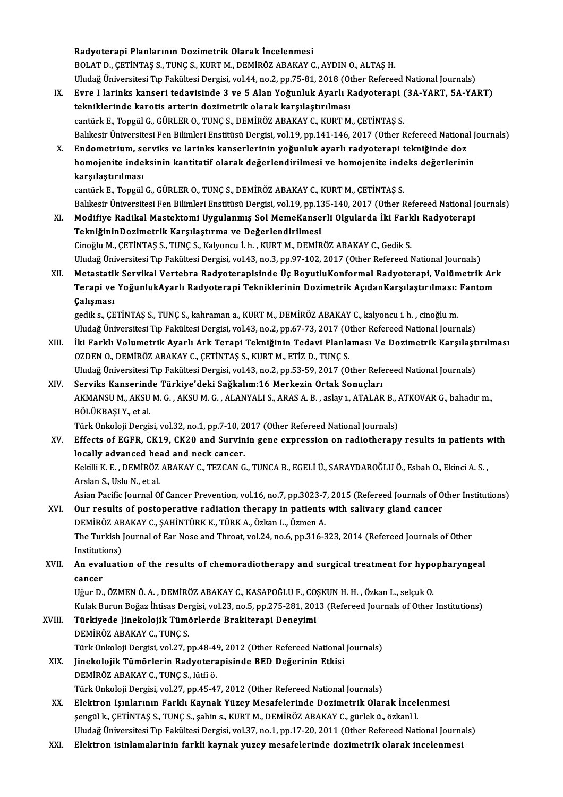Radyoterapi Planlarının Dozimetrik Olarak İncelenmesi BOLAT D., ÇETİNTAŞ S., TUNÇ S., KURT M., DEMİRÖZ ABAKAY C., AYDIN O., ALTAŞ H. Uludağ Üniversitesi Tıp Fakültesi Dergisi, vol.44, no.2, pp.75-81, 2018 (Other Refereed National Journals) BOLAT D., ÇETİNTAŞ S., TUNÇ S., KURT M., DEMİRÖZ ABAKAY C., AYDIN O., ALTAŞ H.<br>Uludağ Üniversitesi Tıp Fakültesi Dergisi, vol.44, no.2, pp.75-81, 2018 (Other Refereed National Journals)<br>IX. Evre I larinks kanseri tedavisin Uludağ Üniversitesi Tıp Fakültesi Dergisi, vol.44, no.2, pp.75-81, 2018 (Ot<br>Evre I larinks kanseri tedavisinde 3 ve 5 Alan Yoğunluk Ayarlı R<br>tekniklerinde karotis arterin dozimetrik olarak karşılaştırılması<br>cantürk E. Teng Evre I larinks kanseri tedavisinde 3 ve 5 Alan Yoğunluk Ayarlı Radyoterapi (<br>tekniklerinde karotis arterin dozimetrik olarak karşılaştırılması<br>cantürk E., Topgül G., GÜRLER O., TUNÇ S., DEMİRÖZ ABAKAY C., KURT M., ÇETİNTAŞ tekniklerinde karotis arterin dozimetrik olarak karşılaştırılması<br>cantürk E., Topgül G., GÜRLER O., TUNÇ S., DEMİRÖZ ABAKAY C., KURT M., ÇETİNTAŞ S.<br>Balıkesir Üniversitesi Fen Bilimleri Enstitüsü Dergisi, vol.19, pp.141-14 cantürk E., Topgül G., GÜRLER O., TUNÇ S., DEMİRÖZ ABAKAY C., KURT M., ÇETİNTAŞ S.<br>Balıkesir Üniversitesi Fen Bilimleri Enstitüsü Dergisi, vol.19, pp.141-146, 2017 (Other Refereed Nationa<br>X. Endometrium, serviks ve larinks Balıkesir Üniversitesi Fen Bilimleri Enstitüsü Dergisi, vol.19, pp.141-146, 2017 (Other Refereed National J<br>Endometrium, serviks ve larinks kanserlerinin yoğunluk ayarlı radyoterapi tekniğinde doz<br>homojenite indeksinin kan Endometrium, se<br>homojenite inde<br>karşılaştırılması<br>cantürk E. Tongül homojenite indeksinin kantitatif olarak değerlendirilmesi ve homojenite inde<br>karşılaştırılması<br>cantürk E., Topgül G., GÜRLER O., TUNÇ S., DEMİRÖZ ABAKAY C., KURT M., ÇETİNTAŞ S.<br>Polikesir Üniversitesi Fen Bilimleri Enstitü karşılaştırılması<br>Cantürk E., Topgül G., GÜRLER O., TUNÇ S., DEMİRÖZ ABAKAY C., KURT M., ÇETİNTAŞ S.<br>Balıkesir Üniversitesi Fen Bilimleri Enstitüsü Dergisi, vol.19, pp.135-140, 2017 (Other Refereed National Journals) XI. Modifiye RadikalMastektomi Uygulanmış SolMemeKanserli Olgularda İki Farklı Radyoterapi TekniğininDozimetrik Karşılaştırma ve Değerlendirilmesi Cinoğlu M., ÇETİNTAŞ S., TUNÇ S., Kalyoncu İ. h., KURT M., DEMİRÖZ ABAKAY C., Gedik S. Uludağ Üniversitesi Tıp Fakültesi Dergisi, vol.43, no.3, pp.97-102, 2017 (Other Refereed National Journals) Cinoğlu M., ÇETİNTAŞ S., TUNÇ S., Kalyoncu İ. h. , KURT M., DEMİRÖZ ABAKAY C., Gedik S.<br>Uludağ Üniversitesi Tıp Fakültesi Dergisi, vol.43, no.3, pp.97-102, 2017 (Other Refereed National Journals)<br>XII. Metastatik Servikal V Uludağ Üniversitesi Tıp Fakültesi Dergisi, vol.43, no.3, pp.97-102, 2017 (Other Refereed National Journals)<br>Metastatik Servikal Vertebra Radyoterapisinde Üç BoyutluKonformal Radyoterapi, Volümetrik Arl<br>Terapi ve YoğunlukAy Metastatil<br>Terapi ve<br>Çalışması Terapi ve YoğunlukAyarlı Radyoterapi Tekniklerinin Dozimetrik AçıdanKarşılaştırılması:<br>Çalışması<br>gedik s., ÇETİNTAŞ S., TUNÇ S., kahraman a., KURT M., DEMİRÖZ ABAKAY C., kalyoncu i. h. , cinoğlu m.<br>Uludağ Üniversitesi T.n Çalışması<br>gedik s., ÇETİNTAŞ S., TUNÇ S., kahraman a., KURT M., DEMİRÖZ ABAKAY C., kalyoncu i. h. , cinoğlu m.<br>Uludağ Üniversitesi Tıp Fakültesi Dergisi, vol.43, no.2, pp.67-73, 2017 (Other Refereed National Journals)<br>İki Vludağ Üniversitesi Tıp Fakültesi Dergisi, vol.43, no.2, pp.67-73, 2017 (Other Refereed National Journals)<br>XIII. İki Farklı Volumetrik Ayarlı Ark Terapi Tekniğinin Tedavi Planlaması Ve Dozimetrik Karşılaştırılması OZDEN O., DEMİRÖZ ABAKAY C., ÇETİNTAŞ S., KURT M., ETİZ D., TUNÇ S. İki Farklı Volumetrik Ayarlı Ark Terapi Tekniğinin Tedavi Planlaması Ve Dozimetrik Karşılaşt<br>OZDEN O., DEMİRÖZ ABAKAY C., ÇETİNTAŞ S., KURT M., ETİZ D., TUNÇ S.<br>Uludağ Üniversitesi Tıp Fakültesi Dergisi, vol.43, no.2, pp.5 OZDEN O., DEMİRÖZ ABAKAY C., ÇETİNTAŞ S., KURT M., ETİZ D., TUNÇ S.<br>Uludağ Üniversitesi Tıp Fakültesi Dergisi, vol.43, no.2, pp.53-59, 2017 (Other Refe<br>XIV. Serviks Kanserinde Türkiye'deki Sağkalım:16 Merkezin Ortak Sonuçl Uludağ Üniversitesi Tıp Fakültesi Dergisi, vol.43, no.2, pp.53-59, 2017 (Other Refereed National Journals)<br>Serviks Kanserinde Türkiye'deki Sağkalım:16 Merkezin Ortak Sonuçları<br>AKMANSU M., AKSU M. G. , AKSU M. G. , ALANYALI Serviks Kanserinde Türkiye'deki Sağkalım:16 Merkezin Ortak Sonuçları<br>AKMANSU M., AKSU M. G., AKSU M. G., ALANYALI S., ARAS A. B., aslay ı., ATALAR B., .<br>BÖLÜKBAŞI Y., et al.<br>Türk Onkoloji Dergisi, vol.32, no.1, pp.7-10, 20 AKMANSU M., AKSU M. G., AKSU M. G., ALANYALI S., ARAS A. B., aslay 1., ATALAR B., ATKOVAR G., bahadır m., BÖLÜKBAŞI Y., et al.<br>Türk Onkoloji Dergisi, vol.32, no.1, pp.7-10, 2017 (Other Refereed National Journals)<br>XV. Effects of EGFR, CK19, CK20 and Survinin gene expression on radiotherapy results in patients with<br>logally a Türk Onkoloji Dergisi, vol.32, no.1, pp.7-10, 2<br>Effects of EGFR, CK19, CK20 and Survin<br>locally advanced head and neck cancer.<br>Kokilli K.E., DEMIRÖZ ARAKAY G. TEZCAN G Effects of EGFR, CK19, CK20 and Survinin gene expression on radiotherapy results in patients v<br>locally advanced head and neck cancer.<br>Kekilli K. E. , DEMİRÖZ ABAKAY C., TEZCAN G., TUNCA B., EGELİ Ü., SARAYDAROĞLU Ö., Esbah locally advanced head and neck cancer.<br>Kekilli K. E. , DEMİRÖZ ABAKAY C., TEZCAN G., TUNCA B., EGELİ Ü., SARAYDAROĞLU Ö., Esbah O., Ekinci A. S. ,<br>Arslan S., Uslu N., et al. Kekilli K. E. , DEMİRÖZ ABAKAY C., TEZCAN G., TUNCA B., EGELİ Ü., SARAYDAROĞLU Ö., Esbah O., Ekinci A. S. ,<br>Arslan S., Uslu N., et al.<br>Asian Pacific Journal Of Cancer Prevention, vol.16, no.7, pp.3023-7, 2015 (Refereed Jou Arslan S., Uslu N., et al.<br>Asian Pacific Journal Of Cancer Prevention, vol.16, no.7, pp.3023-7, 2015 (Refereed Journals of O<br>XVI. Our results of postoperative radiation therapy in patients with salivary gland cancer<br>DEMIRÖ Asian Pacific Journal Of Cancer Prevention, vol.16, no.7, pp.3023-7<br>Our results of postoperative radiation therapy in patients<br>DEMİRÖZ ABAKAY C., ŞAHİNTÜRK K., TÜRK A., Özkan L., Özmen A.<br>The Turkish Journal of Far Ness an XVI. Our results of postoperative radiation therapy in patients with salivary gland cancer<br>DEMİRÖZ ABAKAY C., ŞAHİNTÜRK K., TÜRK A., Özkan L., Özmen A.<br>The Turkish Journal of Ear Nose and Throat, vol.24, no.6, pp.316-323, DEMİRÖZ ABAKAY C., ŞAHİNTÜRK K., TÜRK A., Özkan L., Özmen A. The Turkish Journal of Ear Nose and Throat, vol.24, no.6, pp.316-323, 2014 (Refereed Journals of Other<br>Institutions)<br>XVII. An evaluation of the results of chemoradiotherapy and surgical treatment for hypopharyngeal<br>Cancer Instituti<br>An eval<br>cancer<br>Uğur D An evaluation of the results of chemoradiotherapy and surgical treatment for hypo<br>cancer<br>Uğur D., ÖZMEN Ö. A. , DEMİRÖZ ABAKAY C., KASAPOĞLU F., COŞKUN H. H. , Özkan L., selçuk O.<br>Kulak Burun Boğaz İhtisas Dergisi val 22, cancer<br>Uğur D., ÖZMEN Ö. A. , DEMİRÖZ ABAKAY C., KASAPOĞLU F., COŞKUN H. H. , Özkan L., selçuk O.<br>Kulak Burun Boğaz İhtisas Dergisi, vol.23, no.5, pp.275-281, 2013 (Refereed Journals of Other Institutions)<br>Türkiyede Lineke Uğur D., ÖZMEN Ö. A. , DEMİRÖZ ABAKAY C., KASAPOĞLU F., CO.<br>Kulak Burun Boğaz İhtisas Dergisi, vol.23, no.5, pp.275-281, 201<br>XVIII. Türkiyede Jinekolojik Tümörlerde Brakiterapi Deneyimi<br>DEMİRÖZ ARAKAY G. TINC S Kulak Burun Boğaz İhtisas De<mark>r</mark><br>**Türkiyede Jinekolojik Tüm**i<br>DEMİRÖZ ABAKAY C., TUNÇ S.<br>Türk Onkoloji Dergisi vel 27. r Türkiyede Jinekolojik Tümörlerde Brakiterapi Deneyimi<br>DEMİRÖZ ABAKAY C., TUNÇ S.<br>Türk Onkoloji Dergisi, vol.27, pp.48-49, 2012 (Other Refereed National Journals)<br>Jinekelejik Tümörlerin Bedyeterenisinde PED Değerinin Etkisi DEMİRÖZ ABAKAY C., TUNÇ S.<br>Türk Onkoloji Dergisi, vol.27, pp.48-49, 2012 (Other Refereed National<br>XIX. Jinekolojik Tümörlerin Radyoterapisinde BED Değerinin Etkisi<br>DEMİRÖZ ABAKAY C., TUNÇ S., lütfi ö. Türk Onkoloji Dergisi, vol.27, pp.48-49<br>Jinekolojik Tümörlerin Radyotera<br>DEMİRÖZ ABAKAY C., TUNÇ S., lütfi ö.<br>Türk Onkoloji Dergisi vol.27, pp.45.41 Türk Onkoloji Dergisi, vol.27, pp.45-47, 2012 (Other Refereed National Journals) DEMİRÖZ ABAKAY C., TUNÇ S., lütfi ö.<br>Türk Onkoloji Dergisi, vol.27, pp.45-47, 2012 (Other Refereed National Journals)<br>XX. Elektron Işınlarının Farklı Kaynak Yüzey Mesafelerinde Dozimetrik Olarak İncelenmesi<br>Salanlı Gerinta Türk Onkoloji Dergisi, vol.27, pp.45-47, 2012 (Other Refereed National Journals)<br>Elektron Işınlarının Farklı Kaynak Yüzey Mesafelerinde Dozimetrik Olarak İncel<br>şengül k., ÇETİNTAŞ S., TUNÇ S., şahin s., KURT M., DEMİRÖZ AB şengül k., ÇETİNTAŞ S., TUNÇ S., şahin s., KURT M., DEMİRÖZ ABAKAY C., gürlek ü., özkanl l.<br>Uludağ Üniversitesi Tıp Fakültesi Dergisi, vol.37, no.1, pp.17-20, 2011 (Other Refereed National Journals) XXI. Elektron isinlamalarinin farkli kaynak yuzeymesafelerinde dozimetrik olarak incelenmesi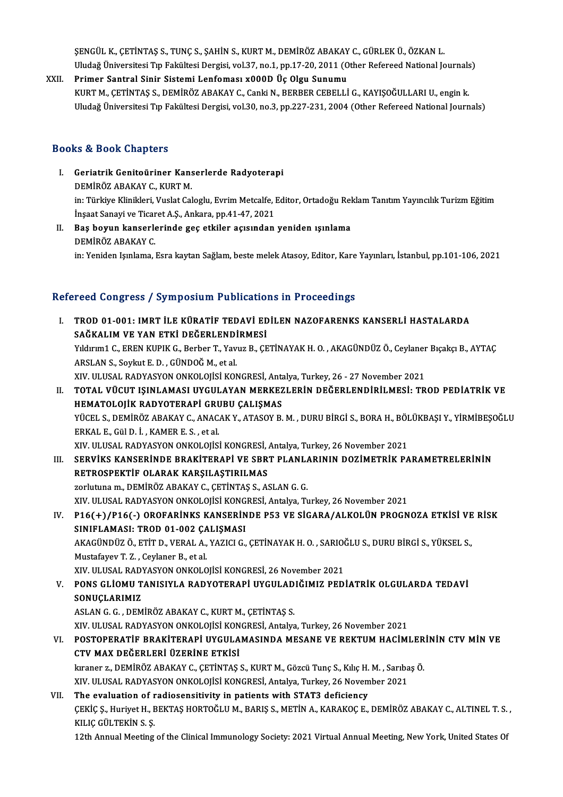ŞENGÜL K., ÇETİNTAŞ S., TUNÇ S., ŞAHİN S., KURT M., DEMİRÖZ ABAKAY C., GÜRLEK Ü., ÖZKAN L. Uludağ Üniversitesi Tıp Fakültesi Dergisi, vol.37, no.1, pp.17-20, 2011 (Other Refereed National Journals)

XXII. Primer Santral Sinir Sistemi Lenfoması x000D Üç Olgu Sunumu KURTM., ÇETİNTAŞ S., DEMİRÖZ ABAKAY C., Canki N., BERBER CEBELLİ G., KAYIŞOĞULLARI U., engin k. Uludağ Üniversitesi Tıp Fakültesi Dergisi, vol.30, no.3, pp.227-231, 2004 (Other Refereed National Journals)

## Books&Book Chapters

- OOks & Book Chapters<br>I. Geriatrik Genitoüriner Kanserlerde Radyoterapi<br>DEMİRÖZARAKAY G. KURT M nd a Doon anapters<br>Geriatrik Genitoüriner Kans<br>DEMİRÖZ ABAKAY C., KURT M. Geriatrik Genitoüriner Kanserlerde Radyoterapi<br>DEMİRÖZ ABAKAY C., KURT M.<br>in: Türkiye Klinikleri, Vuslat Caloglu, Evrim Metcalfe, Editor, Ortadoğu Reklam Tanıtım Yayıncılık Turizm Eğitim<br>İnsast Sanayi ve Tisanst A.S. Ankar DEMİRÖZ ABAKAY C., KURT M.<br>in: Türkiye Klinikleri, Vuslat Caloglu, Evrim Metcalfe, I<br>İnşaat Sanayi ve Ticaret A.Ş., Ankara, pp.41-47, 2021<br>Baş boyun kansarlarında geç stiriler asısından İnşaat Sanayi ve Ticaret A.Ş., Ankara, pp.41-47, 2021
- II. Baş boyun kanserlerinde geç etkiler açısından yeniden ışınlama<br>DEMİRÖZ ABAKAY C.

in: Yeniden Işınlama, Esra kaytan Sağlam, beste melek Atasoy, Editor, Kare Yayınları, İstanbul, pp.101-106, 2021

# m: reniden işiniama, Esra kaytan Sagiam, beste melek Atasoy, Editor, Kare<br>Refereed Congress / Symposium Publications in Proceedings

| Refereed Congress / Symposium Publications in Proceedings |                                                                                                                 |  |
|-----------------------------------------------------------|-----------------------------------------------------------------------------------------------------------------|--|
| L                                                         | TROD 01-001: IMRT İLE KÜRATİF TEDAVİ EDİLEN NAZOFARENKS KANSERLİ HASTALARDA                                     |  |
|                                                           | SAĞKALIM VE YAN ETKİ DEĞERLENDİRMESİ                                                                            |  |
|                                                           | Yıldırım1 C., EREN KUPIK G., Berber T., Yavuz B., ÇETİNAYAK H. O., AKAGÜNDÜZ Ö., Ceylaner Bıçakçı B., AYTAÇ     |  |
|                                                           | ARSLAN S., Soykut E. D., GÜNDOĞ M., et al.                                                                      |  |
|                                                           | XIV. ULUSAL RADYASYON ONKOLOJİSİ KONGRESİ, Antalya, Turkey, 26 - 27 November 2021                               |  |
| II.                                                       | TOTAL VÜCUT IŞINLAMASI UYGULAYAN MERKEZLERİN DEĞERLENDİRİLMESİ: TROD PEDİATRİK VE                               |  |
|                                                           | HEMATOLOJİK RADYOTERAPİ GRUBU ÇALIŞMAS                                                                          |  |
|                                                           | YÜCEL S., DEMİRÖZ ABAKAY C., ANACAK Y., ATASOY B. M., DURU BİRGİ S., BORA H., BÖLÜKBAŞI Y., YİRMİBEŞOĞLU        |  |
|                                                           | ERKAL E, Gül D. İ., KAMER E. S., et al.                                                                         |  |
|                                                           | XIV. ULUSAL RADYASYON ONKOLOJİSİ KONGRESİ, Antalya, Turkey, 26 November 2021                                    |  |
| III.                                                      | SERVIKS KANSERINDE BRAKITERAPI VE SBRT PLANLARININ DOZIMETRIK PARAMETRELERININ                                  |  |
|                                                           | RETROSPEKTİF OLARAK KARŞILAŞTIRILMAS                                                                            |  |
|                                                           | zorlutuna m., DEMİRÖZ ABAKAY C., ÇETİNTAŞ S., ASLAN G. G.                                                       |  |
|                                                           | XIV. ULUSAL RADYASYON ONKOLOJİSİ KONGRESİ, Antalya, Turkey, 26 November 2021                                    |  |
| IV.                                                       | P16(+)/P16(-) OROFARINKS KANSERINDE P53 VE SIGARA/ALKOLÜN PROGNOZA ETKISI VE RISK                               |  |
|                                                           | SINIFLAMASI: TROD 01-002 ÇALIŞMASI                                                                              |  |
|                                                           | AKAGÜNDÜZ Ö., ETİT D., VERAL A., YAZICI G., ÇETİNAYAK H. O., SARIOĞLU S., DURU BİRGİ S., YÜKSEL S.,             |  |
|                                                           | Mustafayev T.Z., Ceylaner B., et al.                                                                            |  |
|                                                           | XIV. ULUSAL RADYASYON ONKOLOJİSİ KONGRESİ, 26 November 2021                                                     |  |
| V.                                                        | PONS GLIOMU TANISIYLA RADYOTERAPI UYGULADIĞIMIZ PEDIATRIK OLGULARDA TEDAVI                                      |  |
|                                                           | SONUÇLARIMIZ                                                                                                    |  |
|                                                           | ASLAN G. G., DEMIRÖZ ABAKAY C., KURT M., CETINTAS S.                                                            |  |
|                                                           | XIV. ULUSAL RADYASYON ONKOLOJİSİ KONGRESİ, Antalya, Turkey, 26 November 2021                                    |  |
| VI.                                                       | POSTOPERATIF BRAKITERAPI UYGULAMASINDA MESANE VE REKTUM HACIMLERININ CTV MIN VE                                 |  |
|                                                           | CTV MAX DEĞERLERİ ÜZERİNE ETKİSİ                                                                                |  |
|                                                           | kıraner z., DEMİRÖZ ABAKAY C., ÇETİNTAŞ S., KURT M., Gözcü Tunç S., Kılıç H. M., Sarıbaş Ö.                     |  |
|                                                           | XIV. ULUSAL RADYASYON ONKOLOJİSİ KONGRESİ, Antalya, Turkey, 26 November 2021                                    |  |
| VII.                                                      | The evaluation of radiosensitivity in patients with STAT3 deficiency                                            |  |
|                                                           | ÇEKİÇ Ş., Huriyet H., BEKTAŞ HORTOĞLU M., BARIŞ S., METİN A., KARAKOÇ E., DEMİRÖZ ABAKAY C., ALTINEL T. S.,     |  |
|                                                           | KILIÇ GÜLTEKİN S.Ş.                                                                                             |  |
|                                                           | 12th Annual Meeting of the Clinical Immunology Society: 2021 Virtual Annual Meeting, New York, United States Of |  |
|                                                           |                                                                                                                 |  |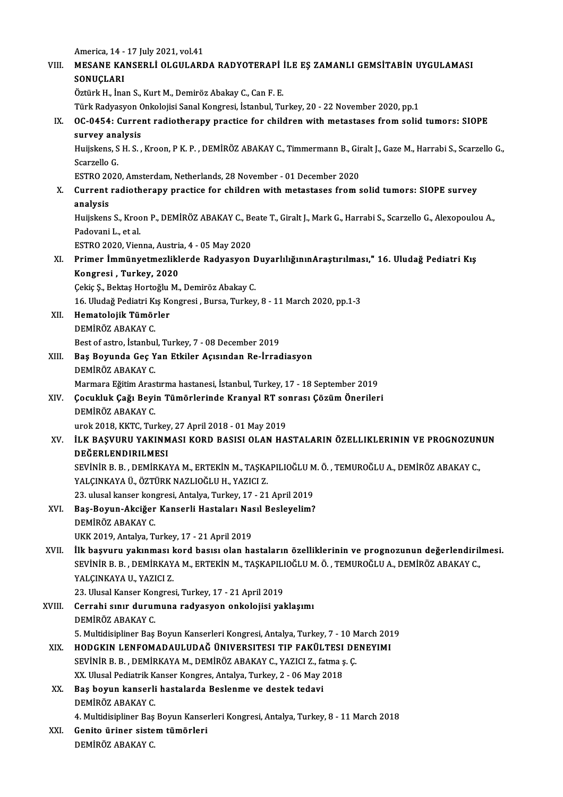| America, 14 - 17 July 2021, vol 41<br>MESANE KANSERLI OLGULARDA RADYOTERAPI İLE EŞ ZAMANLI GEMSİTABİN UYGULAMASI<br>VIII.<br>SONUÇLARI<br>Öztürk H., İnan S., Kurt M., Demiröz Abakay C., Can F. E.<br>Türk Radyasyon Onkolojisi Sanal Kongresi, İstanbul, Turkey, 20 - 22 November 2020, pp.1<br>OC-0454: Current radiotherapy practice for children with metastases from solid tumors: SIOPE<br>IX.<br>survey analysis<br>Huijskens, S H. S., Kroon, P K. P., DEMİRÖZ ABAKAY C., Timmermann B., Giralt J., Gaze M., Harrabi S., Scarzello G.,<br>Scarzello G<br>ESTRO 2020, Amsterdam, Netherlands, 28 November - 01 December 2020<br>Current radiotherapy practice for children with metastases from solid tumors: SIOPE survey<br>X.<br>analysis<br>Huijskens S., Kroon P., DEMİRÖZ ABAKAY C., Beate T., Giralt J., Mark G., Harrabi S., Scarzello G., Alexopoulou A.,<br>Padovani L., et al.<br>ESTRO 2020, Vienna, Austria, 4 - 05 May 2020<br>Primer İmmünyetmezliklerde Radyasyon Duyarlılığının Araştırılması," 16. Uludağ Pediatri Kış<br>XI.<br>Kongresi, Turkey, 2020<br>Çekiç Ş., Bektaş Hortoğlu M., Demiröz Abakay C.<br>16. Uludağ Pediatri Kış Kongresi, Bursa, Turkey, 8 - 11 March 2020, pp.1-3<br>Hematolojik Tümörler<br>XII.<br>DEMİRÖZ ABAKAY C<br>Best of astro, İstanbul, Turkey, 7 - 08 December 2019<br>Baş Boyunda Geç Yan Etkiler Açısından Re-İrradiasyon<br>XIII.<br>DEMİRÖZ ABAKAY C.<br>Marmara Eğitim Arastırma hastanesi, İstanbul, Turkey, 17 - 18 September 2019<br>Çocukluk Çağı Beyin Tümörlerinde Kranyal RT sonrası Çözüm Önerileri<br>XIV.<br>DEMİRÖZ ABAKAY C.<br>urok 2018, KKTC, Turkey, 27 April 2018 - 01 May 2019<br>İLK BAŞVURU YAKINMASI KORD BASISI OLAN HASTALARIN ÖZELLIKLERININ VE PROGNOZUNUN<br>XV.<br>DEĞERLENDIRILMESI<br>SEVINIR B. B., DEMIRKAYA M., ERTEKIN M., TAŞKAPILIOĞLU M. Ö., TEMUROĞLU A., DEMIRÖZ ABAKAY C.,<br>YALÇINKAYA Ü., ÖZTÜRK NAZLIOĞLU H., YAZICI Z.<br>23. ulusal kanser kongresi, Antalya, Turkey, 17 - 21 April 2019<br>Baş-Boyun-Akciğer Kanserli Hastaları Nasıl Besleyelim?<br>XVI.<br>DEMIRÖZ ABAKAY C<br>UKK 2019, Antalya, Turkey, 17 - 21 April 2019<br>İlk başvuru yakınması kord basısı olan hastaların özelliklerinin ve prognozunun değerlendirilmesi.<br>XVII.<br>SEVINIR B. B., DEMIRKAYA M., ERTEKIN M., TAŞKAPILIOĞLU M. Ö., TEMUROĞLU A., DEMIRÖZ ABAKAY C.,<br>YALÇINKAYA U., YAZICI Z.<br>23. Ulusal Kanser Kongresi, Turkey, 17 - 21 April 2019<br>Cerrahi sınır durumuna radyasyon onkolojisi yaklaşımı<br>DEMİRÖZ ABAKAY C.<br>5. Multidisipliner Baş Boyun Kanserleri Kongresi, Antalya, Turkey, 7 - 10 March 2019<br>HODGKIN LENFOMADAULUDAĞ ÜNIVERSITESI TIP FAKÜLTESI DENEYIMI<br>XIX.<br>SEVINIR B. B., DEMIRKAYA M., DEMIRÖZ ABAKAY C., YAZICI Z., fatma ş. Ç.<br>XX. Ulusal Pediatrik Kanser Kongres, Antalya, Turkey, 2 - 06 May 2018<br>Baş boyun kanserli hastalarda Beslenme ve destek tedavi<br>XX.<br>DEMİRÖZ ABAKAY C<br>4. Multidisipliner Baş Boyun Kanserleri Kongresi, Antalya, Turkey, 8 - 11 March 2018<br>Genito üriner sistem tümörleri<br>XXI.<br>DEMİRÖZ ABAKAY C. |        |  |
|---------------------------------------------------------------------------------------------------------------------------------------------------------------------------------------------------------------------------------------------------------------------------------------------------------------------------------------------------------------------------------------------------------------------------------------------------------------------------------------------------------------------------------------------------------------------------------------------------------------------------------------------------------------------------------------------------------------------------------------------------------------------------------------------------------------------------------------------------------------------------------------------------------------------------------------------------------------------------------------------------------------------------------------------------------------------------------------------------------------------------------------------------------------------------------------------------------------------------------------------------------------------------------------------------------------------------------------------------------------------------------------------------------------------------------------------------------------------------------------------------------------------------------------------------------------------------------------------------------------------------------------------------------------------------------------------------------------------------------------------------------------------------------------------------------------------------------------------------------------------------------------------------------------------------------------------------------------------------------------------------------------------------------------------------------------------------------------------------------------------------------------------------------------------------------------------------------------------------------------------------------------------------------------------------------------------------------------------------------------------------------------------------------------------------------------------------------------------------------------------------------------------------------------------------------------------------------------------------------------------------------------------------------------------------------------------------------------------------------------------------------------------------------------------------------------------------------------------------------------------------------------------------------------------------------------------------------------------------------------------------------------------------------------------------------------------------------------------------|--------|--|
|                                                                                                                                                                                                                                                                                                                                                                                                                                                                                                                                                                                                                                                                                                                                                                                                                                                                                                                                                                                                                                                                                                                                                                                                                                                                                                                                                                                                                                                                                                                                                                                                                                                                                                                                                                                                                                                                                                                                                                                                                                                                                                                                                                                                                                                                                                                                                                                                                                                                                                                                                                                                                                                                                                                                                                                                                                                                                                                                                                                                                                                                                                   |        |  |
|                                                                                                                                                                                                                                                                                                                                                                                                                                                                                                                                                                                                                                                                                                                                                                                                                                                                                                                                                                                                                                                                                                                                                                                                                                                                                                                                                                                                                                                                                                                                                                                                                                                                                                                                                                                                                                                                                                                                                                                                                                                                                                                                                                                                                                                                                                                                                                                                                                                                                                                                                                                                                                                                                                                                                                                                                                                                                                                                                                                                                                                                                                   |        |  |
|                                                                                                                                                                                                                                                                                                                                                                                                                                                                                                                                                                                                                                                                                                                                                                                                                                                                                                                                                                                                                                                                                                                                                                                                                                                                                                                                                                                                                                                                                                                                                                                                                                                                                                                                                                                                                                                                                                                                                                                                                                                                                                                                                                                                                                                                                                                                                                                                                                                                                                                                                                                                                                                                                                                                                                                                                                                                                                                                                                                                                                                                                                   |        |  |
|                                                                                                                                                                                                                                                                                                                                                                                                                                                                                                                                                                                                                                                                                                                                                                                                                                                                                                                                                                                                                                                                                                                                                                                                                                                                                                                                                                                                                                                                                                                                                                                                                                                                                                                                                                                                                                                                                                                                                                                                                                                                                                                                                                                                                                                                                                                                                                                                                                                                                                                                                                                                                                                                                                                                                                                                                                                                                                                                                                                                                                                                                                   |        |  |
|                                                                                                                                                                                                                                                                                                                                                                                                                                                                                                                                                                                                                                                                                                                                                                                                                                                                                                                                                                                                                                                                                                                                                                                                                                                                                                                                                                                                                                                                                                                                                                                                                                                                                                                                                                                                                                                                                                                                                                                                                                                                                                                                                                                                                                                                                                                                                                                                                                                                                                                                                                                                                                                                                                                                                                                                                                                                                                                                                                                                                                                                                                   |        |  |
|                                                                                                                                                                                                                                                                                                                                                                                                                                                                                                                                                                                                                                                                                                                                                                                                                                                                                                                                                                                                                                                                                                                                                                                                                                                                                                                                                                                                                                                                                                                                                                                                                                                                                                                                                                                                                                                                                                                                                                                                                                                                                                                                                                                                                                                                                                                                                                                                                                                                                                                                                                                                                                                                                                                                                                                                                                                                                                                                                                                                                                                                                                   |        |  |
|                                                                                                                                                                                                                                                                                                                                                                                                                                                                                                                                                                                                                                                                                                                                                                                                                                                                                                                                                                                                                                                                                                                                                                                                                                                                                                                                                                                                                                                                                                                                                                                                                                                                                                                                                                                                                                                                                                                                                                                                                                                                                                                                                                                                                                                                                                                                                                                                                                                                                                                                                                                                                                                                                                                                                                                                                                                                                                                                                                                                                                                                                                   |        |  |
|                                                                                                                                                                                                                                                                                                                                                                                                                                                                                                                                                                                                                                                                                                                                                                                                                                                                                                                                                                                                                                                                                                                                                                                                                                                                                                                                                                                                                                                                                                                                                                                                                                                                                                                                                                                                                                                                                                                                                                                                                                                                                                                                                                                                                                                                                                                                                                                                                                                                                                                                                                                                                                                                                                                                                                                                                                                                                                                                                                                                                                                                                                   |        |  |
|                                                                                                                                                                                                                                                                                                                                                                                                                                                                                                                                                                                                                                                                                                                                                                                                                                                                                                                                                                                                                                                                                                                                                                                                                                                                                                                                                                                                                                                                                                                                                                                                                                                                                                                                                                                                                                                                                                                                                                                                                                                                                                                                                                                                                                                                                                                                                                                                                                                                                                                                                                                                                                                                                                                                                                                                                                                                                                                                                                                                                                                                                                   |        |  |
|                                                                                                                                                                                                                                                                                                                                                                                                                                                                                                                                                                                                                                                                                                                                                                                                                                                                                                                                                                                                                                                                                                                                                                                                                                                                                                                                                                                                                                                                                                                                                                                                                                                                                                                                                                                                                                                                                                                                                                                                                                                                                                                                                                                                                                                                                                                                                                                                                                                                                                                                                                                                                                                                                                                                                                                                                                                                                                                                                                                                                                                                                                   |        |  |
|                                                                                                                                                                                                                                                                                                                                                                                                                                                                                                                                                                                                                                                                                                                                                                                                                                                                                                                                                                                                                                                                                                                                                                                                                                                                                                                                                                                                                                                                                                                                                                                                                                                                                                                                                                                                                                                                                                                                                                                                                                                                                                                                                                                                                                                                                                                                                                                                                                                                                                                                                                                                                                                                                                                                                                                                                                                                                                                                                                                                                                                                                                   |        |  |
|                                                                                                                                                                                                                                                                                                                                                                                                                                                                                                                                                                                                                                                                                                                                                                                                                                                                                                                                                                                                                                                                                                                                                                                                                                                                                                                                                                                                                                                                                                                                                                                                                                                                                                                                                                                                                                                                                                                                                                                                                                                                                                                                                                                                                                                                                                                                                                                                                                                                                                                                                                                                                                                                                                                                                                                                                                                                                                                                                                                                                                                                                                   |        |  |
|                                                                                                                                                                                                                                                                                                                                                                                                                                                                                                                                                                                                                                                                                                                                                                                                                                                                                                                                                                                                                                                                                                                                                                                                                                                                                                                                                                                                                                                                                                                                                                                                                                                                                                                                                                                                                                                                                                                                                                                                                                                                                                                                                                                                                                                                                                                                                                                                                                                                                                                                                                                                                                                                                                                                                                                                                                                                                                                                                                                                                                                                                                   |        |  |
|                                                                                                                                                                                                                                                                                                                                                                                                                                                                                                                                                                                                                                                                                                                                                                                                                                                                                                                                                                                                                                                                                                                                                                                                                                                                                                                                                                                                                                                                                                                                                                                                                                                                                                                                                                                                                                                                                                                                                                                                                                                                                                                                                                                                                                                                                                                                                                                                                                                                                                                                                                                                                                                                                                                                                                                                                                                                                                                                                                                                                                                                                                   |        |  |
|                                                                                                                                                                                                                                                                                                                                                                                                                                                                                                                                                                                                                                                                                                                                                                                                                                                                                                                                                                                                                                                                                                                                                                                                                                                                                                                                                                                                                                                                                                                                                                                                                                                                                                                                                                                                                                                                                                                                                                                                                                                                                                                                                                                                                                                                                                                                                                                                                                                                                                                                                                                                                                                                                                                                                                                                                                                                                                                                                                                                                                                                                                   |        |  |
|                                                                                                                                                                                                                                                                                                                                                                                                                                                                                                                                                                                                                                                                                                                                                                                                                                                                                                                                                                                                                                                                                                                                                                                                                                                                                                                                                                                                                                                                                                                                                                                                                                                                                                                                                                                                                                                                                                                                                                                                                                                                                                                                                                                                                                                                                                                                                                                                                                                                                                                                                                                                                                                                                                                                                                                                                                                                                                                                                                                                                                                                                                   |        |  |
|                                                                                                                                                                                                                                                                                                                                                                                                                                                                                                                                                                                                                                                                                                                                                                                                                                                                                                                                                                                                                                                                                                                                                                                                                                                                                                                                                                                                                                                                                                                                                                                                                                                                                                                                                                                                                                                                                                                                                                                                                                                                                                                                                                                                                                                                                                                                                                                                                                                                                                                                                                                                                                                                                                                                                                                                                                                                                                                                                                                                                                                                                                   |        |  |
|                                                                                                                                                                                                                                                                                                                                                                                                                                                                                                                                                                                                                                                                                                                                                                                                                                                                                                                                                                                                                                                                                                                                                                                                                                                                                                                                                                                                                                                                                                                                                                                                                                                                                                                                                                                                                                                                                                                                                                                                                                                                                                                                                                                                                                                                                                                                                                                                                                                                                                                                                                                                                                                                                                                                                                                                                                                                                                                                                                                                                                                                                                   |        |  |
|                                                                                                                                                                                                                                                                                                                                                                                                                                                                                                                                                                                                                                                                                                                                                                                                                                                                                                                                                                                                                                                                                                                                                                                                                                                                                                                                                                                                                                                                                                                                                                                                                                                                                                                                                                                                                                                                                                                                                                                                                                                                                                                                                                                                                                                                                                                                                                                                                                                                                                                                                                                                                                                                                                                                                                                                                                                                                                                                                                                                                                                                                                   |        |  |
|                                                                                                                                                                                                                                                                                                                                                                                                                                                                                                                                                                                                                                                                                                                                                                                                                                                                                                                                                                                                                                                                                                                                                                                                                                                                                                                                                                                                                                                                                                                                                                                                                                                                                                                                                                                                                                                                                                                                                                                                                                                                                                                                                                                                                                                                                                                                                                                                                                                                                                                                                                                                                                                                                                                                                                                                                                                                                                                                                                                                                                                                                                   |        |  |
|                                                                                                                                                                                                                                                                                                                                                                                                                                                                                                                                                                                                                                                                                                                                                                                                                                                                                                                                                                                                                                                                                                                                                                                                                                                                                                                                                                                                                                                                                                                                                                                                                                                                                                                                                                                                                                                                                                                                                                                                                                                                                                                                                                                                                                                                                                                                                                                                                                                                                                                                                                                                                                                                                                                                                                                                                                                                                                                                                                                                                                                                                                   |        |  |
|                                                                                                                                                                                                                                                                                                                                                                                                                                                                                                                                                                                                                                                                                                                                                                                                                                                                                                                                                                                                                                                                                                                                                                                                                                                                                                                                                                                                                                                                                                                                                                                                                                                                                                                                                                                                                                                                                                                                                                                                                                                                                                                                                                                                                                                                                                                                                                                                                                                                                                                                                                                                                                                                                                                                                                                                                                                                                                                                                                                                                                                                                                   |        |  |
|                                                                                                                                                                                                                                                                                                                                                                                                                                                                                                                                                                                                                                                                                                                                                                                                                                                                                                                                                                                                                                                                                                                                                                                                                                                                                                                                                                                                                                                                                                                                                                                                                                                                                                                                                                                                                                                                                                                                                                                                                                                                                                                                                                                                                                                                                                                                                                                                                                                                                                                                                                                                                                                                                                                                                                                                                                                                                                                                                                                                                                                                                                   |        |  |
|                                                                                                                                                                                                                                                                                                                                                                                                                                                                                                                                                                                                                                                                                                                                                                                                                                                                                                                                                                                                                                                                                                                                                                                                                                                                                                                                                                                                                                                                                                                                                                                                                                                                                                                                                                                                                                                                                                                                                                                                                                                                                                                                                                                                                                                                                                                                                                                                                                                                                                                                                                                                                                                                                                                                                                                                                                                                                                                                                                                                                                                                                                   |        |  |
|                                                                                                                                                                                                                                                                                                                                                                                                                                                                                                                                                                                                                                                                                                                                                                                                                                                                                                                                                                                                                                                                                                                                                                                                                                                                                                                                                                                                                                                                                                                                                                                                                                                                                                                                                                                                                                                                                                                                                                                                                                                                                                                                                                                                                                                                                                                                                                                                                                                                                                                                                                                                                                                                                                                                                                                                                                                                                                                                                                                                                                                                                                   |        |  |
|                                                                                                                                                                                                                                                                                                                                                                                                                                                                                                                                                                                                                                                                                                                                                                                                                                                                                                                                                                                                                                                                                                                                                                                                                                                                                                                                                                                                                                                                                                                                                                                                                                                                                                                                                                                                                                                                                                                                                                                                                                                                                                                                                                                                                                                                                                                                                                                                                                                                                                                                                                                                                                                                                                                                                                                                                                                                                                                                                                                                                                                                                                   |        |  |
|                                                                                                                                                                                                                                                                                                                                                                                                                                                                                                                                                                                                                                                                                                                                                                                                                                                                                                                                                                                                                                                                                                                                                                                                                                                                                                                                                                                                                                                                                                                                                                                                                                                                                                                                                                                                                                                                                                                                                                                                                                                                                                                                                                                                                                                                                                                                                                                                                                                                                                                                                                                                                                                                                                                                                                                                                                                                                                                                                                                                                                                                                                   |        |  |
|                                                                                                                                                                                                                                                                                                                                                                                                                                                                                                                                                                                                                                                                                                                                                                                                                                                                                                                                                                                                                                                                                                                                                                                                                                                                                                                                                                                                                                                                                                                                                                                                                                                                                                                                                                                                                                                                                                                                                                                                                                                                                                                                                                                                                                                                                                                                                                                                                                                                                                                                                                                                                                                                                                                                                                                                                                                                                                                                                                                                                                                                                                   |        |  |
|                                                                                                                                                                                                                                                                                                                                                                                                                                                                                                                                                                                                                                                                                                                                                                                                                                                                                                                                                                                                                                                                                                                                                                                                                                                                                                                                                                                                                                                                                                                                                                                                                                                                                                                                                                                                                                                                                                                                                                                                                                                                                                                                                                                                                                                                                                                                                                                                                                                                                                                                                                                                                                                                                                                                                                                                                                                                                                                                                                                                                                                                                                   |        |  |
|                                                                                                                                                                                                                                                                                                                                                                                                                                                                                                                                                                                                                                                                                                                                                                                                                                                                                                                                                                                                                                                                                                                                                                                                                                                                                                                                                                                                                                                                                                                                                                                                                                                                                                                                                                                                                                                                                                                                                                                                                                                                                                                                                                                                                                                                                                                                                                                                                                                                                                                                                                                                                                                                                                                                                                                                                                                                                                                                                                                                                                                                                                   |        |  |
|                                                                                                                                                                                                                                                                                                                                                                                                                                                                                                                                                                                                                                                                                                                                                                                                                                                                                                                                                                                                                                                                                                                                                                                                                                                                                                                                                                                                                                                                                                                                                                                                                                                                                                                                                                                                                                                                                                                                                                                                                                                                                                                                                                                                                                                                                                                                                                                                                                                                                                                                                                                                                                                                                                                                                                                                                                                                                                                                                                                                                                                                                                   |        |  |
|                                                                                                                                                                                                                                                                                                                                                                                                                                                                                                                                                                                                                                                                                                                                                                                                                                                                                                                                                                                                                                                                                                                                                                                                                                                                                                                                                                                                                                                                                                                                                                                                                                                                                                                                                                                                                                                                                                                                                                                                                                                                                                                                                                                                                                                                                                                                                                                                                                                                                                                                                                                                                                                                                                                                                                                                                                                                                                                                                                                                                                                                                                   |        |  |
|                                                                                                                                                                                                                                                                                                                                                                                                                                                                                                                                                                                                                                                                                                                                                                                                                                                                                                                                                                                                                                                                                                                                                                                                                                                                                                                                                                                                                                                                                                                                                                                                                                                                                                                                                                                                                                                                                                                                                                                                                                                                                                                                                                                                                                                                                                                                                                                                                                                                                                                                                                                                                                                                                                                                                                                                                                                                                                                                                                                                                                                                                                   |        |  |
|                                                                                                                                                                                                                                                                                                                                                                                                                                                                                                                                                                                                                                                                                                                                                                                                                                                                                                                                                                                                                                                                                                                                                                                                                                                                                                                                                                                                                                                                                                                                                                                                                                                                                                                                                                                                                                                                                                                                                                                                                                                                                                                                                                                                                                                                                                                                                                                                                                                                                                                                                                                                                                                                                                                                                                                                                                                                                                                                                                                                                                                                                                   |        |  |
|                                                                                                                                                                                                                                                                                                                                                                                                                                                                                                                                                                                                                                                                                                                                                                                                                                                                                                                                                                                                                                                                                                                                                                                                                                                                                                                                                                                                                                                                                                                                                                                                                                                                                                                                                                                                                                                                                                                                                                                                                                                                                                                                                                                                                                                                                                                                                                                                                                                                                                                                                                                                                                                                                                                                                                                                                                                                                                                                                                                                                                                                                                   |        |  |
|                                                                                                                                                                                                                                                                                                                                                                                                                                                                                                                                                                                                                                                                                                                                                                                                                                                                                                                                                                                                                                                                                                                                                                                                                                                                                                                                                                                                                                                                                                                                                                                                                                                                                                                                                                                                                                                                                                                                                                                                                                                                                                                                                                                                                                                                                                                                                                                                                                                                                                                                                                                                                                                                                                                                                                                                                                                                                                                                                                                                                                                                                                   |        |  |
|                                                                                                                                                                                                                                                                                                                                                                                                                                                                                                                                                                                                                                                                                                                                                                                                                                                                                                                                                                                                                                                                                                                                                                                                                                                                                                                                                                                                                                                                                                                                                                                                                                                                                                                                                                                                                                                                                                                                                                                                                                                                                                                                                                                                                                                                                                                                                                                                                                                                                                                                                                                                                                                                                                                                                                                                                                                                                                                                                                                                                                                                                                   |        |  |
|                                                                                                                                                                                                                                                                                                                                                                                                                                                                                                                                                                                                                                                                                                                                                                                                                                                                                                                                                                                                                                                                                                                                                                                                                                                                                                                                                                                                                                                                                                                                                                                                                                                                                                                                                                                                                                                                                                                                                                                                                                                                                                                                                                                                                                                                                                                                                                                                                                                                                                                                                                                                                                                                                                                                                                                                                                                                                                                                                                                                                                                                                                   |        |  |
|                                                                                                                                                                                                                                                                                                                                                                                                                                                                                                                                                                                                                                                                                                                                                                                                                                                                                                                                                                                                                                                                                                                                                                                                                                                                                                                                                                                                                                                                                                                                                                                                                                                                                                                                                                                                                                                                                                                                                                                                                                                                                                                                                                                                                                                                                                                                                                                                                                                                                                                                                                                                                                                                                                                                                                                                                                                                                                                                                                                                                                                                                                   | XVIII. |  |
|                                                                                                                                                                                                                                                                                                                                                                                                                                                                                                                                                                                                                                                                                                                                                                                                                                                                                                                                                                                                                                                                                                                                                                                                                                                                                                                                                                                                                                                                                                                                                                                                                                                                                                                                                                                                                                                                                                                                                                                                                                                                                                                                                                                                                                                                                                                                                                                                                                                                                                                                                                                                                                                                                                                                                                                                                                                                                                                                                                                                                                                                                                   |        |  |
|                                                                                                                                                                                                                                                                                                                                                                                                                                                                                                                                                                                                                                                                                                                                                                                                                                                                                                                                                                                                                                                                                                                                                                                                                                                                                                                                                                                                                                                                                                                                                                                                                                                                                                                                                                                                                                                                                                                                                                                                                                                                                                                                                                                                                                                                                                                                                                                                                                                                                                                                                                                                                                                                                                                                                                                                                                                                                                                                                                                                                                                                                                   |        |  |
|                                                                                                                                                                                                                                                                                                                                                                                                                                                                                                                                                                                                                                                                                                                                                                                                                                                                                                                                                                                                                                                                                                                                                                                                                                                                                                                                                                                                                                                                                                                                                                                                                                                                                                                                                                                                                                                                                                                                                                                                                                                                                                                                                                                                                                                                                                                                                                                                                                                                                                                                                                                                                                                                                                                                                                                                                                                                                                                                                                                                                                                                                                   |        |  |
|                                                                                                                                                                                                                                                                                                                                                                                                                                                                                                                                                                                                                                                                                                                                                                                                                                                                                                                                                                                                                                                                                                                                                                                                                                                                                                                                                                                                                                                                                                                                                                                                                                                                                                                                                                                                                                                                                                                                                                                                                                                                                                                                                                                                                                                                                                                                                                                                                                                                                                                                                                                                                                                                                                                                                                                                                                                                                                                                                                                                                                                                                                   |        |  |
|                                                                                                                                                                                                                                                                                                                                                                                                                                                                                                                                                                                                                                                                                                                                                                                                                                                                                                                                                                                                                                                                                                                                                                                                                                                                                                                                                                                                                                                                                                                                                                                                                                                                                                                                                                                                                                                                                                                                                                                                                                                                                                                                                                                                                                                                                                                                                                                                                                                                                                                                                                                                                                                                                                                                                                                                                                                                                                                                                                                                                                                                                                   |        |  |
|                                                                                                                                                                                                                                                                                                                                                                                                                                                                                                                                                                                                                                                                                                                                                                                                                                                                                                                                                                                                                                                                                                                                                                                                                                                                                                                                                                                                                                                                                                                                                                                                                                                                                                                                                                                                                                                                                                                                                                                                                                                                                                                                                                                                                                                                                                                                                                                                                                                                                                                                                                                                                                                                                                                                                                                                                                                                                                                                                                                                                                                                                                   |        |  |
|                                                                                                                                                                                                                                                                                                                                                                                                                                                                                                                                                                                                                                                                                                                                                                                                                                                                                                                                                                                                                                                                                                                                                                                                                                                                                                                                                                                                                                                                                                                                                                                                                                                                                                                                                                                                                                                                                                                                                                                                                                                                                                                                                                                                                                                                                                                                                                                                                                                                                                                                                                                                                                                                                                                                                                                                                                                                                                                                                                                                                                                                                                   |        |  |
|                                                                                                                                                                                                                                                                                                                                                                                                                                                                                                                                                                                                                                                                                                                                                                                                                                                                                                                                                                                                                                                                                                                                                                                                                                                                                                                                                                                                                                                                                                                                                                                                                                                                                                                                                                                                                                                                                                                                                                                                                                                                                                                                                                                                                                                                                                                                                                                                                                                                                                                                                                                                                                                                                                                                                                                                                                                                                                                                                                                                                                                                                                   |        |  |
|                                                                                                                                                                                                                                                                                                                                                                                                                                                                                                                                                                                                                                                                                                                                                                                                                                                                                                                                                                                                                                                                                                                                                                                                                                                                                                                                                                                                                                                                                                                                                                                                                                                                                                                                                                                                                                                                                                                                                                                                                                                                                                                                                                                                                                                                                                                                                                                                                                                                                                                                                                                                                                                                                                                                                                                                                                                                                                                                                                                                                                                                                                   |        |  |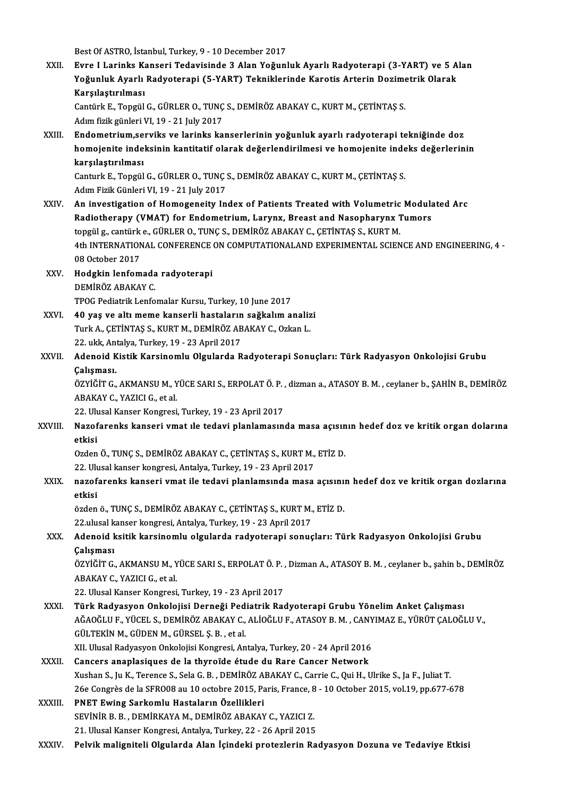Best Of ASTRO, İstanbul, Turkey, 9 - 10 December 2017

Best Of ASTRO, İstanbul, Turkey, 9 - 10 December 2017<br>XXII. Evre I Larinks Kanseri Tedavisinde 3 Alan Yoğunluk Ayarlı Radyoterapi (3-YART) ve 5 Alan<br>Yeğunluk Ayarlı Pedveterani (5 YART) Teknikleyinde Kanetis Artarin Desime Best Of ASTRO, İstanbul, Turkey, 9 - 10 December 2017<br>Evre I Larinks Kanseri Tedavisinde 3 Alan Yoğunluk Ayarlı Radyoterapi (3-YART) ve 5 A<br>Yoğunluk Ayarlı Radyoterapi (5-YART) Tekniklerinde Karotis Arterin Dozimetrik Olar Yoğunluk Ayarlı Radyoterapi (5-YART) Tekniklerinde Karotis Arterin Dozimetrik Olarak<br>Karşılaştırılması Yoğunluk Ayarlı Radyoterapi (5-YART) Tekniklerinde Karotis Arterin Dozime<br>Karşılaştırılması<br>Cantürk E., Topgül G., GÜRLER O., TUNÇ S., DEMİRÖZ ABAKAY C., KURT M., ÇETİNTAŞ S.<br>Adım fizik günleri VI 19, 21 July 2017 Karşılaştırılması<br>Cantürk E., Topgül G., GÜRLER O., TUNÇ<br>Adım fizik günleri VI, 19 - 21 July 2017<br>Endomatrium serviks ve larinks ka Cantürk E., Topgül G., GÜRLER O., TUNÇ S., DEMİRÖZ ABAKAY C., KURT M., ÇETİNTAŞ S.<br>Adım fizik günleri VI, 19 - 21 July 2017<br>XXIII. Butometrium,serviks ve larinks kanserlerinin yoğunluk ayarlı radyoterapi tekniğinde doz<br>hom Adım fizik günleri VI, 19 - 21 July 2017<br>Endometrium,serviks ve larinks kanserlerinin yoğunluk ayarlı radyoterapi tekniğinde doz<br>homojenite indeksinin kantitatif olarak değerlendirilmesi ve homojenite indeks değerlerinin<br>k Endometrium,se<br>homojenite inde<br>karşılaştırılması<br>Canturk E. Tengül homojenite indeksinin kantitatif olarak değerlendirilmesi ve homojenite inde<br>karşılaştırılması<br>Canturk E., Topgül G., GÜRLER O., TUNÇ S., DEMİRÖZ ABAKAY C., KURT M., ÇETİNTAŞ S.<br>Adım Fizik Cünleri VI 19, 21 July 2017 karşılaştırılması<br>Canturk E., Topgül G., GÜRLER O., TUNÇ :<br>Adım Fizik Günleri VI, 19 - 21 July 2017<br>An investisation of Homogeneity In Adım Fizik Günleri VI, 19 - 21 July 2017<br>XXIV. An investigation of Homogeneity Index of Patients Treated with Volumetric Modulated Arc Radiotherapy (VMAT) for Endometrium, Larynx, Breast and Nasopharynx Tumors An investigation of Homogeneity Index of Patients Treated with Volumetric<br>Radiotherapy (VMAT) for Endometrium, Larynx, Breast and Nasopharynx 1<br>topgülg., cantürk e., GÜRLER O., TUNÇ S., DEMİRÖZ ABAKAY C., ÇETİNTAŞ S., KURT 4th INTERNATIONAL CONFERENCE ON COMPUTATIONALAND EXPERIMENTAL SCIENCE AND ENGINEERING, 4 - 08 October 2017 topgül g., cantürk<br>4th INTERNATION<br>08 October 2017<br>Hodskin Jonfom 4th INTERNATIONAL CONFERENCE<br>08 October 2017<br>XXV. Hodgkin lenfomada radyoterapi 08 October 2017<br><mark>Hodgkin lenfomada</mark><br>DEMİRÖZ ABAKAY C.<br>TPOC Pediatrik Lenfo DEMİRÖZ ABAKAY C.<br>TPOG Pediatrik Lenfomalar Kursu, Turkey, 10 June 2017 DEMİRÖZ ABAKAY C.<br>TPOG Pediatrik Lenfomalar Kursu, Turkey, 10 June 2017<br>XXVI. 40 yaş ve altı meme kanserli hastaların sağkalım analizi TPOG Pediatrik Lenfomalar Kursu, Turkey, 10 June 2017<br>40 yaş ve altı meme kanserli hastaların sağkalım analiz<br>Turk A., ÇETİNTAŞ S., KURT M., DEMİRÖZ ABAKAY C., Ozkan L.<br>22 yılık Antalya Turkey, 19, 22 April 2017 40 yaş ve altı meme kanserli hastaların<br>Turk A., ÇETİNTAŞ S., KURT M., DEMİRÖZ AB<br>22. ukk, Antalya, Turkey, 19 - 23 April 2017<br>Adapeid Kiştik Karsinemlu Olsularda B Turk A., ÇETİNTAŞ S., KURT M., DEMİRÖZ ABAKAY C., Ozkan L.<br>22. ukk, Antalya, Turkey, 19 - 23 April 2017<br>XXVII. Adenoid Kistik Karsinomlu Olgularda Radyoterapi Sonuçları: Türk Radyasyon Onkolojisi Grubu<br>Calisması 22. ukk, An<br><mark>Adenoid K</mark><br>Çalışması.<br>özvičir C Adenoid Kistik Karsinomlu Olgularda Radyoterapi Sonuçları: Türk Radyasyon Onkolojisi Grubu<br>Çalışması.<br>ÖZYİĞİT G., AKMANSU M., YÜCE SARI S., ERPOLAT Ö. P. , dizman a., ATASOY B. M. , ceylaner b., ŞAHİN B., DEMİRÖZ<br>ARAKAY C. Çalışması.<br>ÖZYİĞİT G., AKMANSU M., Y<br>ABAKAY C., YAZICI G., et al. ÖZYİĞİT G., AKMANSU M., YÜCE SARI S., ERPOLAT Ö. P., dizman a., ATASOY B. M., ceylaner b., ŞAHİN B., DEMİRÖZ ABAKAY C., YAZICI G., et al.<br>22. Ulusal Kanser Kongresi, Turkey, 19 - 23 April 2017<br>XXVIII. Nazofarenks kanseri vmat ıle tedavi planlamasında masa açısının hedef doz ve kritik organ dolarına<br>Atkisi 22. Ulusal Kanser Kongresi, Turkey, 19 - 23 April 2017<br>Nazofarenks kanseri vmat ile tedavi planlamasın<br>etkisi Nazofarenks kanseri vmat ıle tedavi planlamasında masa açısın<br>etkisi<br>Ozden Ö., TUNÇ S., DEMİRÖZ ABAKAY C., ÇETİNTAŞ S., KURT M., ETİZ D.<br>22 Hiyesi kansar kansresi Antakya Turkay 19, 22 Anril 2017 0zden Ö., TUNÇ S., DEMİRÖZ ABAKAY C., ÇETİNTAŞ S., KURT M., ETİZ D.<br>22. Ulusal kanser kongresi, Antalya, Turkey, 19 - 23 April 2017 Ozden Ö., TUNÇ S., DEMİRÖZ ABAKAY C., ÇETİNTAŞ S., KURT M., ETİZ D.<br>22. Ulusal kanser kongresi, Antalya, Turkey, 19 - 23 April 2017<br>XXIX. nazofarenks kanseri vmat ile tedavi planlamsında masa açısının hedef doz ve krit 22. Ul<mark>l</mark><br>nazof<br>etkisi nazofarenks kanseri vmat ile tedavi planlamsında masa açısını:<br>etkisi<br>özden ö., TUNÇ S., DEMİRÖZ ABAKAY C., ÇETİNTAŞ S., KURT M., ETİZ D.<br>22 yılusal kanser kanspesi, Artalya Turkay 19, 22 April 2017 etkisi<br>özden ö., TUNÇ S., DEMİRÖZ ABAKAY C., ÇETİNTAŞ S., KURT M., ETİZ D. XXX. Adenoid ksitik karsinomlu olgularda radyoterapi sonuçları: Türk Radyasyon Onkolojisi Grubu 22.ulusal kanser kongresi, Antalya, Turkey, 19 - 23 April 2017 Adenoid ksitik karsinomlu olgularda radyoterapi sonuçları: Türk Radyasyon Onkolojisi Grubu<br>Çalışması<br>ÖZYİĞİT G., AKMANSU M., YÜCE SARI S., ERPOLAT Ö. P. , Dizman A., ATASOY B. M. , ceylaner b., şahin b., DEMİRÖZ<br>ARAKAY C. ABAKAY C., YAZICI G., et al.<br>22. Ulusal Kanser Kongresi, Turkey, 19 - 23 April 2017 ÖZYİĞİT G., AKMANSU M., YÜCE SARI S., ERPOLAT Ö. P. ,<br>ABAKAY C., YAZICI G., et al.<br>22. Ulusal Kanser Kongresi, Turkey, 19 - 23 April 2017<br>Türk Badyasyan Onkalajisi Darnağı Badiatrik Baş XXI. Hürk Radyasyon Onkolojisi Derneği Pediatrik Radyoterapi Grubu Yönelim Anket Çalışması<br>XXXI. Türk Radyasyon Onkolojisi Derneği Pediatrik Radyoterapi Grubu Yönelim Anket Çalışması<br>Ağaoğlu E. Yücki S. DEMİRÖZ ARAKAY GALİ 22. Ulusal Kanser Kongresi, Turkey, 19 - 23 April 2017<br>Türk Radyasyon Onkolojisi Derneği Pediatrik Radyoterapi Grubu Yönelim Anket Çalışması<br>AĞAOĞLU F., YÜCEL S., DEMİRÖZ ABAKAY C., ALİOĞLU F., ATASOY B. M. , CANYIMAZ E., Türk Radyasyon Onkolojisi Derneği Ped<br>AĞAOĞLU F., YÜCEL S., DEMİRÖZ ABAKAY C.,<br>GÜLTEKİN M., GÜDEN M., GÜRSEL Ş. B. , et al.<br>YU Ulucel Bedyasyon Onkolojisi Kongresi, An AĞAOĞLU F., YÜCEL S., DEMİRÖZ ABAKAY C., ALİOĞLU F., ATASOY B. M. , CANYIMAZ E., YÜRÜT ÇALOĞLU V.,<br>GÜLTEKİN M., GÜDEN M., GÜRSEL Ş. B. , et al.<br>XII. Ulusal Radyasyon Onkolojisi Kongresi, Antalya, Turkey, 20 - 24 April 2016 XXXII. Cancers anaplasiques de la thyroïde étude du Rare Cancer Network XushanS., JuK.,Terence S.,SelaG.B. ,DEMİRÖZABAKAYC.,CarrieC.,QuiH.,Ulrike S., Ja F., JuliatT. Cancers anaplasiques de la thyroïde étude du Rare Cancer Network<br>Xushan S., Ju K., Terence S., Sela G. B. , DEMİRÖZ ABAKAY C., Carrie C., Qui H., Ulrike S., Ja F., Juliat T.<br>26e Congrès de la SFRO08 au 10 octobre 2015, Par XXXIII. PNET Ewing Sarkomlu Hastaların Özellikleri 26e Congrès de la SFRO08 au 10 octobre 2015, Paris, France, 8<br>**PNET Ewing Sarkomlu Hastaların Özellikleri**<br>SEVİNİR B. B. , DEMİRKAYA M., DEMİRÖZ ABAKAY C., YAZICI Z.<br>21 Hilvesi Kansar Kansvesi, Antalya Turkay 22, 26 Anril 21. Ulusal Kanser Kongresi, Antalya, Turkey, 22 - 26 April 2015<br>21. Ulusal Kanser Kongresi, Antalya, Turkey, 22 - 26 April 2015 XXXIV. Pelvikmaligniteli Olgularda Alan İçindeki protezlerin Radyasyon Dozuna ve Tedaviye Etkisi